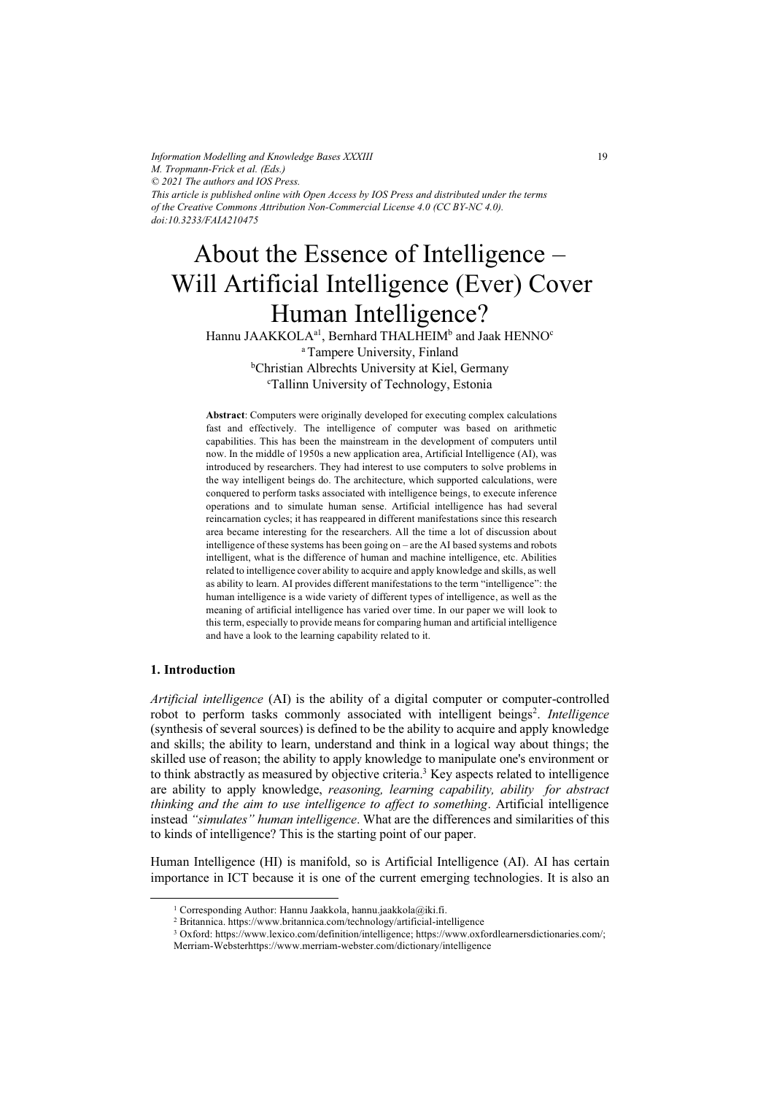*Information Modelling and Knowledge Bases XXXIII M. Tropmann-Frick et al. (Eds.) © 2021 The authors and IOS Press. This article is published online with Open Access by IOS Press and distributed under the terms of the Creative Commons Attribution Non-Commercial License 4.0 (CC BY-NC 4.0). doi:10.3233/FAIA210475*

# About the Essence of Intelligence – Will Artificial Intelligence (Ever) Cover Human Intelligence?

Hannu JAAKKOLA $^{\rm al}$ , Bernhard THALHEIM $^{\rm b}$  and Jaak HENNO $^{\rm c}$ a Tampere University, Finland

> <sup>b</sup>Christian Albrechts University at Kiel, Germany c Tallinn University of Technology, Estonia

**Abstract**: Computers were originally developed for executing complex calculations fast and effectively. The intelligence of computer was based on arithmetic capabilities. This has been the mainstream in the development of computers until now. In the middle of 1950s a new application area, Artificial Intelligence (AI), was introduced by researchers. They had interest to use computers to solve problems in the way intelligent beings do. The architecture, which supported calculations, were conquered to perform tasks associated with intelligence beings, to execute inference operations and to simulate human sense. Artificial intelligence has had several reincarnation cycles; it has reappeared in different manifestations since this research area became interesting for the researchers. All the time a lot of discussion about intelligence of these systems has been going on – are the AI based systems and robots intelligent, what is the difference of human and machine intelligence, etc. Abilities related to intelligence cover ability to acquire and apply knowledge and skills, as well as ability to learn. AI provides different manifestations to the term "intelligence": the human intelligence is a wide variety of different types of intelligence, as well as the meaning of artificial intelligence has varied over time. In our paper we will look to this term, especially to provide means for comparing human and artificial intelligence and have a look to the learning capability related to it.

#### **1. Introduction**

*Artificial intelligence* (AI) is the ability of a digital computer or computer-controlled robot to perform tasks commonly associated with intelligent beings<sup>2</sup>. Intelligence (synthesis of several sources) is defined to be the ability to acquire and apply knowledge and skills; the ability to learn, understand and think in a logical way about things; the skilled use of reason; the ability to apply knowledge to manipulate one's environment or to think abstractly as measured by objective criteria.<sup>3</sup> Key aspects related to intelligence are ability to apply knowledge, *reasoning, learning capability, ability for abstract thinking and the aim to use intelligence to affect to something*. Artificial intelligence instead *"simulates" human intelligence*. What are the differences and similarities of this to kinds of intelligence? This is the starting point of our paper.

Human Intelligence (HI) is manifold, so is Artificial Intelligence (AI). AI has certain importance in ICT because it is one of the current emerging technologies. It is also an

<sup>&</sup>lt;sup>1</sup> Corresponding Author: Hannu Jaakkola, hannu.jaakkola@iki.fi.

<sup>2</sup> Britannica. https://www.britannica.com/technology/artificial-intelligence 3 Oxford: https://www.lexico.com/definition/intelligence; https://www.oxfordlearnersdictionaries.com/;

Merriam-Websterhttps://www.merriam-webster.com/dictionary/intelligence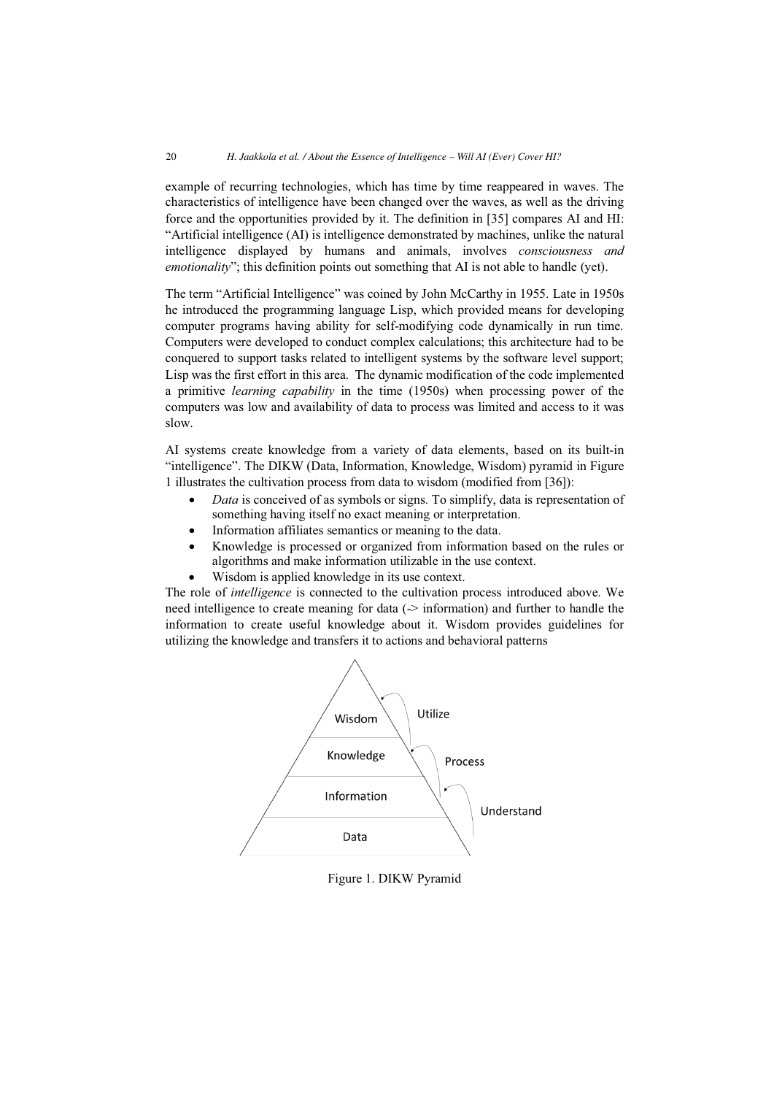example of recurring technologies, which has time by time reappeared in waves. The characteristics of intelligence have been changed over the waves, as well as the driving force and the opportunities provided by it. The definition in [35] compares AI and HI: "Artificial intelligence (AI) is intelligence demonstrated by machines, unlike the natural intelligence displayed by humans and animals, involves *consciousness and emotionality*"; this definition points out something that AI is not able to handle (yet).

The term "Artificial Intelligence" was coined by John McCarthy in 1955. Late in 1950s he introduced the programming language Lisp, which provided means for developing computer programs having ability for self-modifying code dynamically in run time. Computers were developed to conduct complex calculations; this architecture had to be conquered to support tasks related to intelligent systems by the software level support; Lisp was the first effort in this area. The dynamic modification of the code implemented a primitive *learning capability* in the time (1950s) when processing power of the computers was low and availability of data to process was limited and access to it was slow.

AI systems create knowledge from a variety of data elements, based on its built-in "intelligence". The DIKW (Data, Information, Knowledge, Wisdom) pyramid in Figure 1 illustrates the cultivation process from data to wisdom (modified from [36]):

- $\bullet$  *Data* is conceived of as symbols or signs. To simplify, data is representation of something having itself no exact meaning or interpretation.
- $\bullet$ Information affiliates semantics or meaning to the data.
- - Knowledge is processed or organized from information based on the rules or algorithms and make information utilizable in the use context.
- $\bullet$ Wisdom is applied knowledge in its use context.

The role of *intelligence* is connected to the cultivation process introduced above. We need intelligence to create meaning for data (-> information) and further to handle the information to create useful knowledge about it. Wisdom provides guidelines for utilizing the knowledge and transfers it to actions and behavioral patterns



Figure 1. DIKW Pyramid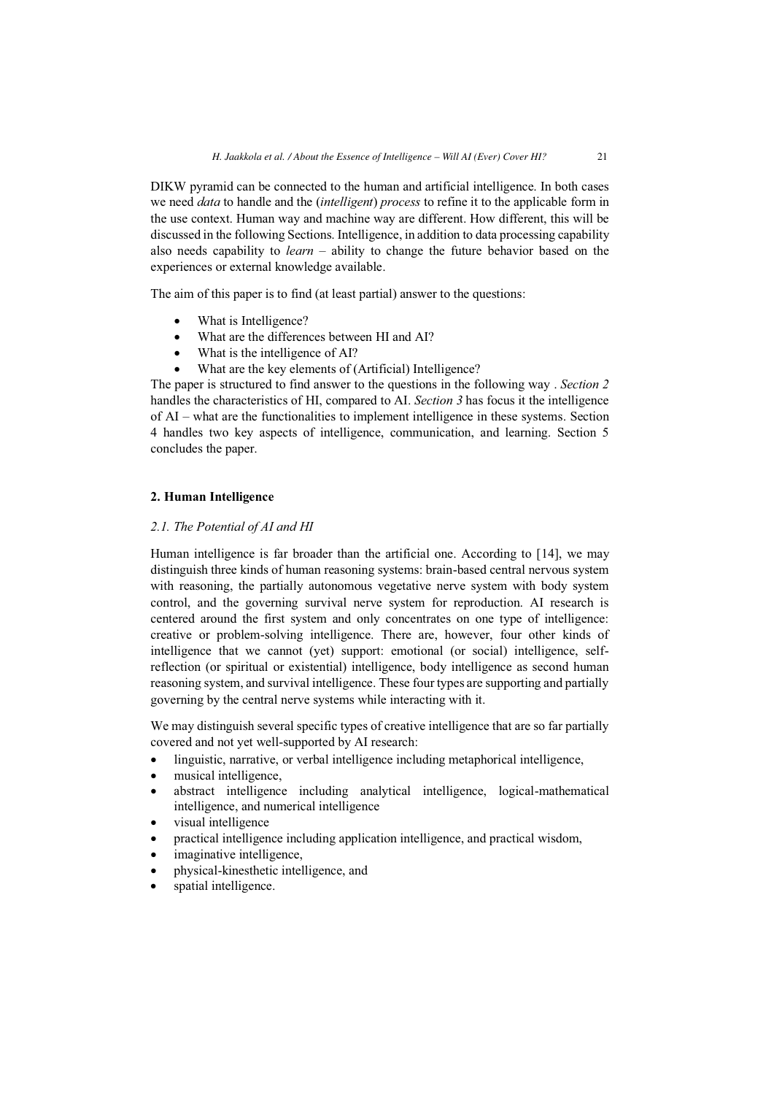DIKW pyramid can be connected to the human and artificial intelligence. In both cases we need *data* to handle and the (*intelligent*) *process* to refine it to the applicable form in the use context. Human way and machine way are different. How different, this will be discussed in the following Sections. Intelligence, in addition to data processing capability also needs capability to *learn* – ability to change the future behavior based on the experiences or external knowledge available.

The aim of this paper is to find (at least partial) answer to the questions:

- $\bullet$ What is Intelligence?
- $\bullet$ What are the differences between HI and AI?
- $\bullet$ What is the intelligence of AI?
- -What are the key elements of (Artificial) Intelligence?

The paper is structured to find answer to the questions in the following way . *Section 2* handles the characteristics of HI, compared to AI. *Section 3* has focus it the intelligence of AI – what are the functionalities to implement intelligence in these systems. Section 4 handles two key aspects of intelligence, communication, and learning. Section 5 concludes the paper.

# **2. Human Intelligence**

# *2.1. The Potential of AI and HI*

Human intelligence is far broader than the artificial one. According to [14], we may distinguish three kinds of human reasoning systems: brain-based central nervous system with reasoning, the partially autonomous vegetative nerve system with body system control, and the governing survival nerve system for reproduction. AI research is centered around the first system and only concentrates on one type of intelligence: creative or problem-solving intelligence. There are, however, four other kinds of intelligence that we cannot (yet) support: emotional (or social) intelligence, selfreflection (or spiritual or existential) intelligence, body intelligence as second human reasoning system, and survival intelligence. These four types are supporting and partially governing by the central nerve systems while interacting with it.

We may distinguish several specific types of creative intelligence that are so far partially covered and not yet well-supported by AI research:

- $\bullet$ linguistic, narrative, or verbal intelligence including metaphorical intelligence,
- musical intelligence,
- abstract intelligence including analytical intelligence, logical-mathematical intelligence, and numerical intelligence
- visual intelligence
- practical intelligence including application intelligence, and practical wisdom,
- $\bullet$ imaginative intelligence,
- physical-kinesthetic intelligence, and
- spatial intelligence.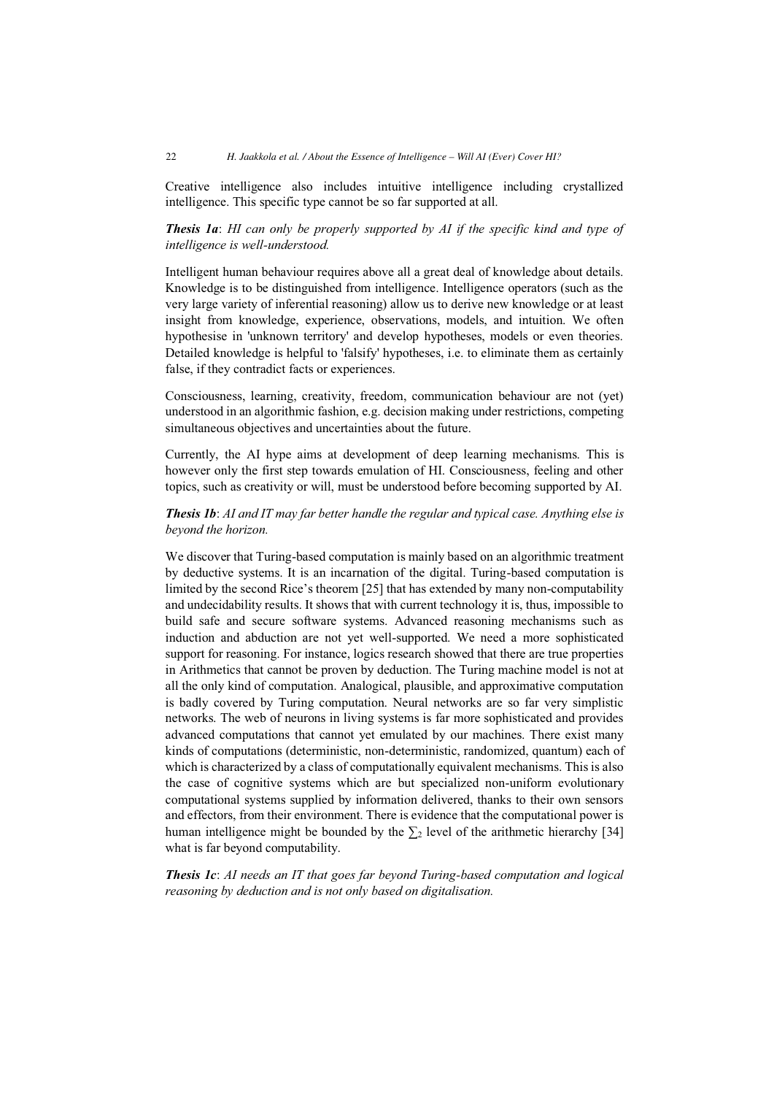Creative intelligence also includes intuitive intelligence including crystallized intelligence. This specific type cannot be so far supported at all.

*Thesis 1a*: *HI can only be properly supported by AI if the specific kind and type of intelligence is well-understood.* 

Intelligent human behaviour requires above all a great deal of knowledge about details. Knowledge is to be distinguished from intelligence. Intelligence operators (such as the very large variety of inferential reasoning) allow us to derive new knowledge or at least insight from knowledge, experience, observations, models, and intuition. We often hypothesise in 'unknown territory' and develop hypotheses, models or even theories. Detailed knowledge is helpful to 'falsify' hypotheses, i.e. to eliminate them as certainly false, if they contradict facts or experiences.

Consciousness, learning, creativity, freedom, communication behaviour are not (yet) understood in an algorithmic fashion, e.g. decision making under restrictions, competing simultaneous objectives and uncertainties about the future.

Currently, the AI hype aims at development of deep learning mechanisms. This is however only the first step towards emulation of HI. Consciousness, feeling and other topics, such as creativity or will, must be understood before becoming supported by AI.

*Thesis 1b*: *AI and IT may far better handle the regular and typical case. Anything else is beyond the horizon.*

We discover that Turing-based computation is mainly based on an algorithmic treatment by deductive systems. It is an incarnation of the digital. Turing-based computation is limited by the second Rice's theorem [25] that has extended by many non-computability and undecidability results. It shows that with current technology it is, thus, impossible to build safe and secure software systems. Advanced reasoning mechanisms such as induction and abduction are not yet well-supported. We need a more sophisticated support for reasoning. For instance, logics research showed that there are true properties in Arithmetics that cannot be proven by deduction. The Turing machine model is not at all the only kind of computation. Analogical, plausible, and approximative computation is badly covered by Turing computation. Neural networks are so far very simplistic networks. The web of neurons in living systems is far more sophisticated and provides advanced computations that cannot yet emulated by our machines. There exist many kinds of computations (deterministic, non-deterministic, randomized, quantum) each of which is characterized by a class of computationally equivalent mechanisms. This is also the case of cognitive systems which are but specialized non-uniform evolutionary computational systems supplied by information delivered, thanks to their own sensors and effectors, from their environment. There is evidence that the computational power is human intelligence might be bounded by the  $\Sigma_2$  level of the arithmetic hierarchy [34] what is far beyond computability.

*Thesis 1c*: *AI needs an IT that goes far beyond Turing-based computation and logical reasoning by deduction and is not only based on digitalisation.*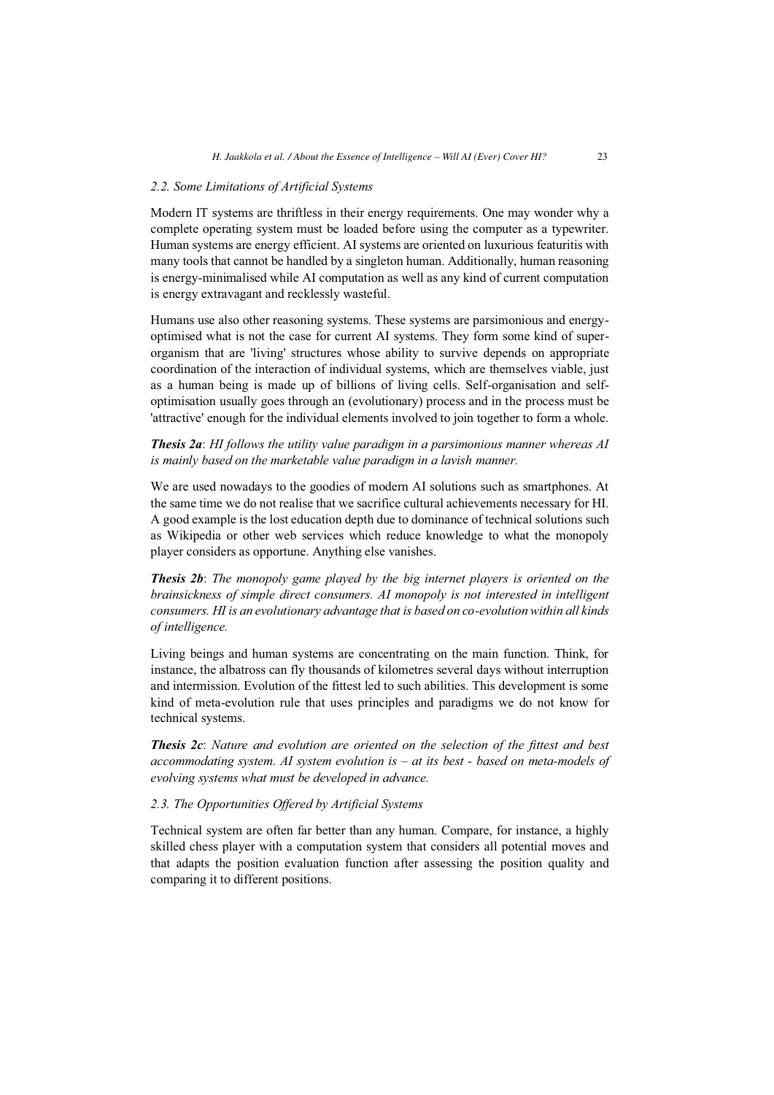#### *2.2. Some Limitations of Artificial Systems*

Modern IT systems are thriftless in their energy requirements. One may wonder why a complete operating system must be loaded before using the computer as a typewriter. Human systems are energy efficient. AI systems are oriented on luxurious featuritis with many tools that cannot be handled by a singleton human. Additionally, human reasoning is energy-minimalised while AI computation as well as any kind of current computation is energy extravagant and recklessly wasteful.

Humans use also other reasoning systems. These systems are parsimonious and energyoptimised what is not the case for current AI systems. They form some kind of superorganism that are 'living' structures whose ability to survive depends on appropriate coordination of the interaction of individual systems, which are themselves viable, just as a human being is made up of billions of living cells. Self-organisation and selfoptimisation usually goes through an (evolutionary) process and in the process must be 'attractive' enough for the individual elements involved to join together to form a whole.

*Thesis 2a*: *HI follows the utility value paradigm in a parsimonious manner whereas AI is mainly based on the marketable value paradigm in a lavish manner.*

We are used nowadays to the goodies of modern AI solutions such as smartphones. At the same time we do not realise that we sacrifice cultural achievements necessary for HI. A good example is the lost education depth due to dominance of technical solutions such as Wikipedia or other web services which reduce knowledge to what the monopoly player considers as opportune. Anything else vanishes.

*Thesis 2b*: *The monopoly game played by the big internet players is oriented on the brainsickness of simple direct consumers. AI monopoly is not interested in intelligent consumers. HI is an evolutionary advantage that is based on co-evolution within all kinds of intelligence.* 

Living beings and human systems are concentrating on the main function. Think, for instance, the albatross can fly thousands of kilometres several days without interruption and intermission. Evolution of the fittest led to such abilities. This development is some kind of meta-evolution rule that uses principles and paradigms we do not know for technical systems.

*Thesis 2c*: *Nature and evolution are oriented on the selection of the fittest and best accommodating system. AI system evolution is – at its best - based on meta-models of evolving systems what must be developed in advance.* 

#### *2.3. The Opportunities Offered by Artificial Systems*

Technical system are often far better than any human. Compare, for instance, a highly skilled chess player with a computation system that considers all potential moves and that adapts the position evaluation function after assessing the position quality and comparing it to different positions.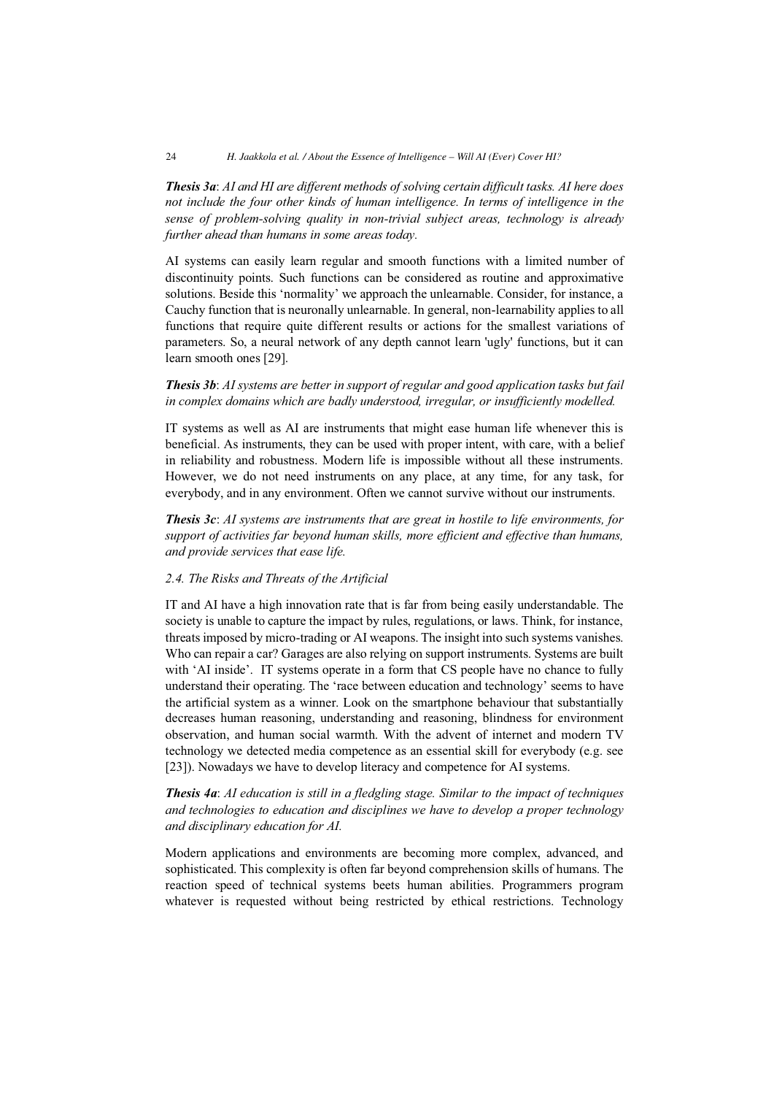*Thesis 3a*: *AI and HI are different methods of solving certain difficult tasks. AI here does not include the four other kinds of human intelligence. In terms of intelligence in the sense of problem-solving quality in non-trivial subject areas, technology is already further ahead than humans in some areas today.*

AI systems can easily learn regular and smooth functions with a limited number of discontinuity points. Such functions can be considered as routine and approximative solutions. Beside this 'normality' we approach the unlearnable. Consider, for instance, a Cauchy function that is neuronally unlearnable. In general, non-learnability applies to all functions that require quite different results or actions for the smallest variations of parameters. So, a neural network of any depth cannot learn 'ugly' functions, but it can learn smooth ones [29].

#### *Thesis 3b*: *AI systems are better in support of regular and good application tasks but fail in complex domains which are badly understood, irregular, or insufficiently modelled.*

IT systems as well as AI are instruments that might ease human life whenever this is beneficial. As instruments, they can be used with proper intent, with care, with a belief in reliability and robustness. Modern life is impossible without all these instruments. However, we do not need instruments on any place, at any time, for any task, for everybody, and in any environment. Often we cannot survive without our instruments.

*Thesis 3c*: *AI systems are instruments that are great in hostile to life environments, for support of activities far beyond human skills, more efficient and effective than humans, and provide services that ease life.*

#### *2.4. The Risks and Threats of the Artificial*

IT and AI have a high innovation rate that is far from being easily understandable. The society is unable to capture the impact by rules, regulations, or laws. Think, for instance, threats imposed by micro-trading or AI weapons. The insight into such systems vanishes. Who can repair a car? Garages are also relying on support instruments. Systems are built with 'AI inside'. IT systems operate in a form that CS people have no chance to fully understand their operating. The 'race between education and technology' seems to have the artificial system as a winner. Look on the smartphone behaviour that substantially decreases human reasoning, understanding and reasoning, blindness for environment observation, and human social warmth. With the advent of internet and modern TV technology we detected media competence as an essential skill for everybody (e.g. see [23]). Nowadays we have to develop literacy and competence for AI systems.

## *Thesis 4a*: *AI education is still in a fledgling stage. Similar to the impact of techniques and technologies to education and disciplines we have to develop a proper technology and disciplinary education for AI.*

Modern applications and environments are becoming more complex, advanced, and sophisticated. This complexity is often far beyond comprehension skills of humans. The reaction speed of technical systems beets human abilities. Programmers program whatever is requested without being restricted by ethical restrictions. Technology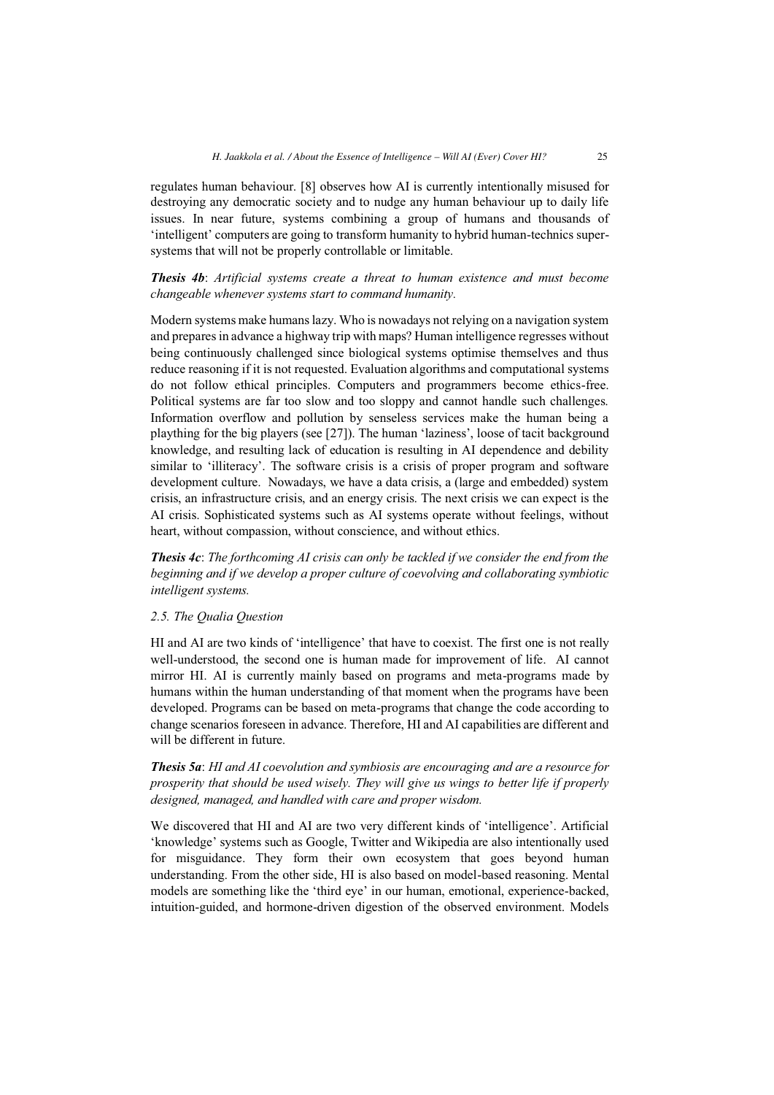regulates human behaviour. [8] observes how AI is currently intentionally misused for destroying any democratic society and to nudge any human behaviour up to daily life issues. In near future, systems combining a group of humans and thousands of 'intelligent' computers are going to transform humanity to hybrid human-technics supersystems that will not be properly controllable or limitable.

*Thesis 4b*: *Artificial systems create a threat to human existence and must become changeable whenever systems start to command humanity.*

Modern systems make humans lazy. Who is nowadays not relying on a navigation system and prepares in advance a highway trip with maps? Human intelligence regresses without being continuously challenged since biological systems optimise themselves and thus reduce reasoning if it is not requested. Evaluation algorithms and computational systems do not follow ethical principles. Computers and programmers become ethics-free. Political systems are far too slow and too sloppy and cannot handle such challenges. Information overflow and pollution by senseless services make the human being a plaything for the big players (see [27]). The human 'laziness', loose of tacit background knowledge, and resulting lack of education is resulting in AI dependence and debility similar to 'illiteracy'. The software crisis is a crisis of proper program and software development culture. Nowadays, we have a data crisis, a (large and embedded) system crisis, an infrastructure crisis, and an energy crisis. The next crisis we can expect is the AI crisis. Sophisticated systems such as AI systems operate without feelings, without heart, without compassion, without conscience, and without ethics.

*Thesis 4c*: *The forthcoming AI crisis can only be tackled if we consider the end from the beginning and if we develop a proper culture of coevolving and collaborating symbiotic intelligent systems.* 

#### *2.5. The Qualia Question*

HI and AI are two kinds of 'intelligence' that have to coexist. The first one is not really well-understood, the second one is human made for improvement of life. AI cannot mirror HI. AI is currently mainly based on programs and meta-programs made by humans within the human understanding of that moment when the programs have been developed. Programs can be based on meta-programs that change the code according to change scenarios foreseen in advance. Therefore, HI and AI capabilities are different and will be different in future.

*Thesis 5a*: *HI and AI coevolution and symbiosis are encouraging and are a resource for prosperity that should be used wisely. They will give us wings to better life if properly designed, managed, and handled with care and proper wisdom.*

We discovered that HI and AI are two very different kinds of 'intelligence'. Artificial 'knowledge' systems such as Google, Twitter and Wikipedia are also intentionally used for misguidance. They form their own ecosystem that goes beyond human understanding. From the other side, HI is also based on model-based reasoning. Mental models are something like the 'third eye' in our human, emotional, experience-backed, intuition-guided, and hormone-driven digestion of the observed environment. Models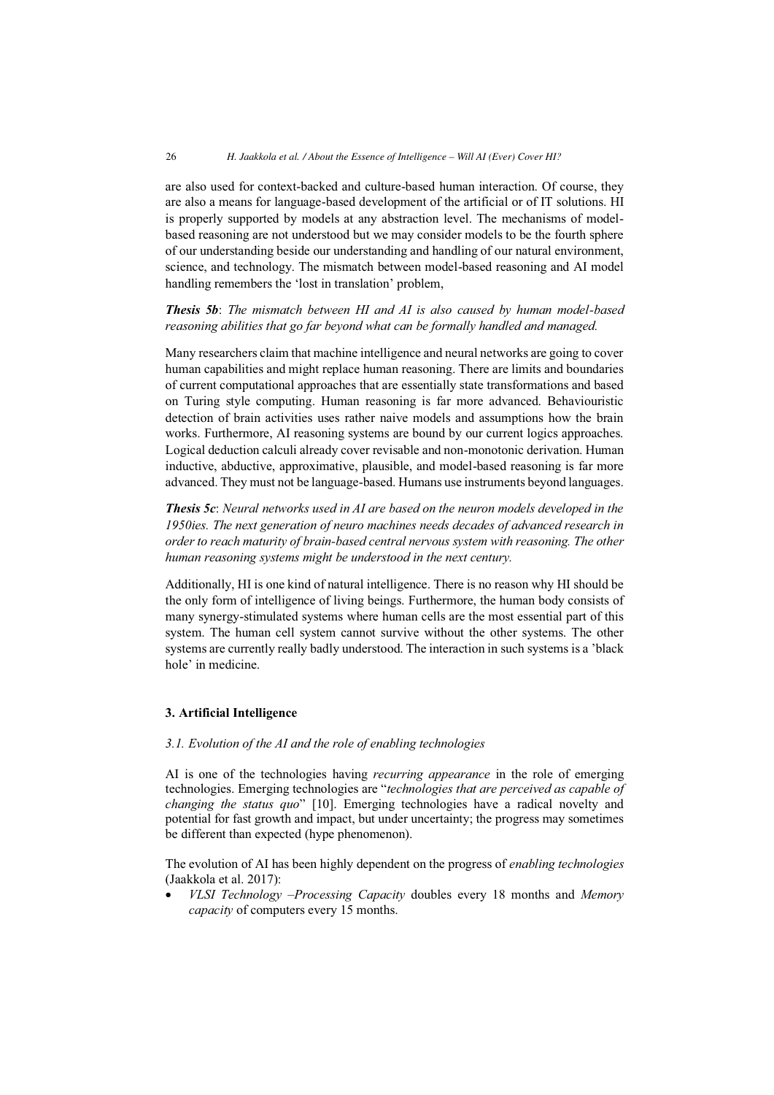are also used for context-backed and culture-based human interaction. Of course, they are also a means for language-based development of the artificial or of IT solutions. HI is properly supported by models at any abstraction level. The mechanisms of modelbased reasoning are not understood but we may consider models to be the fourth sphere of our understanding beside our understanding and handling of our natural environment, science, and technology. The mismatch between model-based reasoning and AI model handling remembers the 'lost in translation' problem,

*Thesis 5b*: *The mismatch between HI and AI is also caused by human model-based reasoning abilities that go far beyond what can be formally handled and managed.* 

Many researchers claim that machine intelligence and neural networks are going to cover human capabilities and might replace human reasoning. There are limits and boundaries of current computational approaches that are essentially state transformations and based on Turing style computing. Human reasoning is far more advanced. Behaviouristic detection of brain activities uses rather naive models and assumptions how the brain works. Furthermore, AI reasoning systems are bound by our current logics approaches. Logical deduction calculi already cover revisable and non-monotonic derivation. Human inductive, abductive, approximative, plausible, and model-based reasoning is far more advanced. They must not be language-based. Humans use instruments beyond languages.

*Thesis 5c*: *Neural networks used in AI are based on the neuron models developed in the 1950ies. The next generation of neuro machines needs decades of advanced research in order to reach maturity of brain-based central nervous system with reasoning. The other human reasoning systems might be understood in the next century.* 

Additionally, HI is one kind of natural intelligence. There is no reason why HI should be the only form of intelligence of living beings. Furthermore, the human body consists of many synergy-stimulated systems where human cells are the most essential part of this system. The human cell system cannot survive without the other systems. The other systems are currently really badly understood. The interaction in such systems is a 'black hole' in medicine.

## **3. Artificial Intelligence**

#### *3.1. Evolution of the AI and the role of enabling technologies*

AI is one of the technologies having *recurring appearance* in the role of emerging technologies. Emerging technologies are "*technologies that are perceived as capable of changing the status quo*" [10]. Emerging technologies have a radical novelty and potential for fast growth and impact, but under uncertainty; the progress may sometimes be different than expected (hype phenomenon).

The evolution of AI has been highly dependent on the progress of *enabling technologies*  (Jaakkola et al. 2017):

- *VLSI Technology* –*Processing Capacity* doubles every 18 months and *Memory capacity* of computers every 15 months.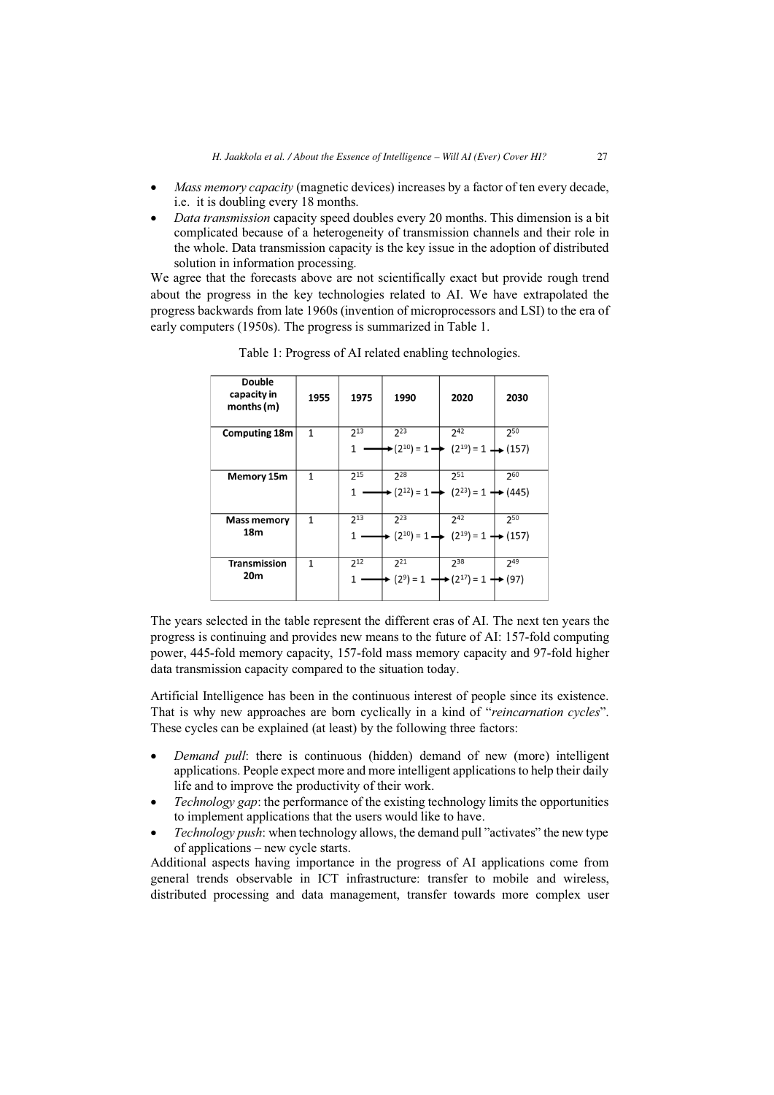- - *Mass memory capacity* (magnetic devices) increases by a factor of ten every decade, i.e. it is doubling every 18 months.
- - *Data transmission* capacity speed doubles every 20 months. This dimension is a bit complicated because of a heterogeneity of transmission channels and their role in the whole. Data transmission capacity is the key issue in the adoption of distributed solution in information processing.

We agree that the forecasts above are not scientifically exact but provide rough trend about the progress in the key technologies related to AI. We have extrapolated the progress backwards from late 1960s (invention of microprocessors and LSI) to the era of early computers (1950s). The progress is summarized in Table 1.

| <b>Double</b><br>capacity in<br>months (m) | 1955 | 1975          | 1990                                              | 2020                    | 2030           |
|--------------------------------------------|------|---------------|---------------------------------------------------|-------------------------|----------------|
| <b>Computing 18m</b>                       | 1    | $2^{13}$<br>1 | 223<br>$>(2^{10}) = 1$                            | 742<br>$(2^{19}) = 1$   | 250<br>(157)   |
| Memory 15m                                 | 1    | $2^{15}$<br>1 | 228<br>$(2^{12}) = 1$                             | 251<br>$(2^{23}) = 1$   | 260<br>► (445) |
| <b>Mass memory</b><br>18m                  | 1    | $2^{13}$      | $2^{23}$<br>$(2^{10}) = 1 -$                      | 242<br>$(2^{19}) = 1$ - | 250<br>► (157) |
| <b>Transmission</b><br>20m                 | 1    | $2^{12}$      | 221<br>$(2^9) = 1$ $\longrightarrow (2^{17}) = 1$ | 738                     | 249<br>► (97)  |

Table 1: Progress of AI related enabling technologies.

The years selected in the table represent the different eras of AI. The next ten years the progress is continuing and provides new means to the future of AI: 157-fold computing power, 445-fold memory capacity, 157-fold mass memory capacity and 97-fold higher data transmission capacity compared to the situation today.

Artificial Intelligence has been in the continuous interest of people since its existence. That is why new approaches are born cyclically in a kind of "*reincarnation cycles*". These cycles can be explained (at least) by the following three factors:

- - *Demand pull*: there is continuous (hidden) demand of new (more) intelligent applications. People expect more and more intelligent applications to help their daily life and to improve the productivity of their work.
- - *Technology gap*: the performance of the existing technology limits the opportunities to implement applications that the users would like to have.
- - *Technology push*: when technology allows, the demand pull "activates" the new type of applications – new cycle starts.

Additional aspects having importance in the progress of AI applications come from general trends observable in ICT infrastructure: transfer to mobile and wireless, distributed processing and data management, transfer towards more complex user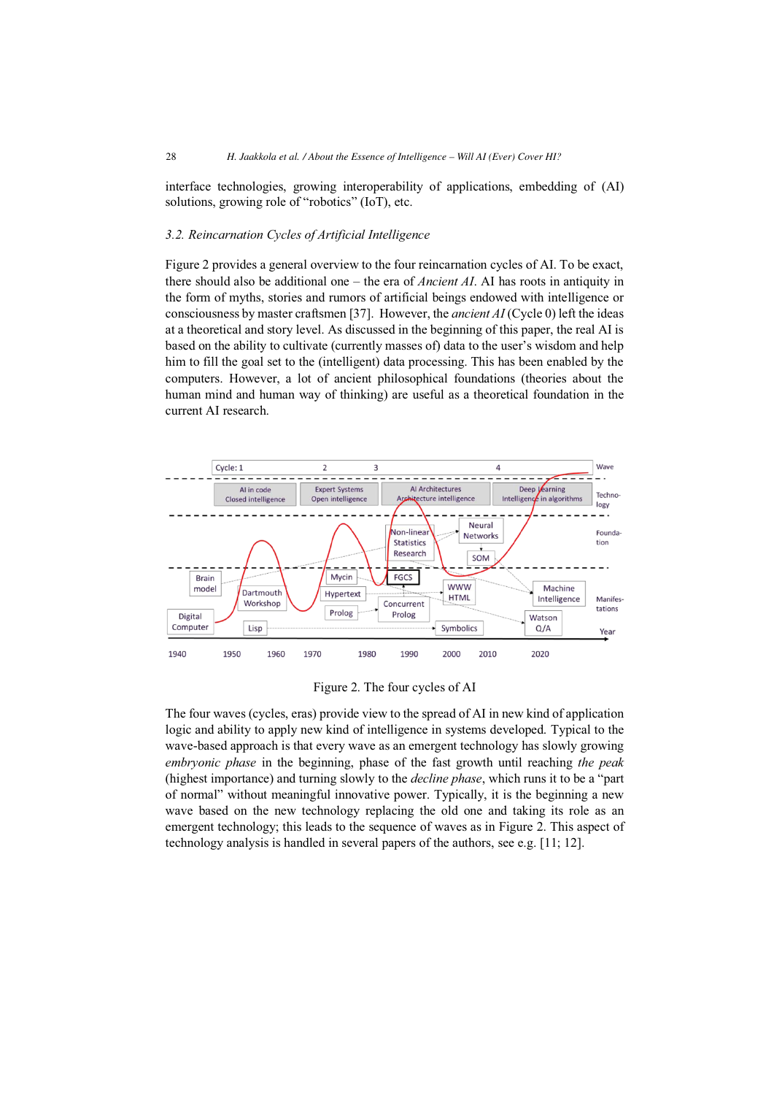interface technologies, growing interoperability of applications, embedding of (AI) solutions, growing role of "robotics" (IoT), etc.

#### *3.2. Reincarnation Cycles of Artificial Intelligence*

Figure 2 provides a general overview to the four reincarnation cycles of AI. To be exact, there should also be additional one – the era of *Ancient AI*. AI has roots in antiquity in the form of myths, stories and rumors of artificial beings endowed with intelligence or consciousness by master craftsmen [37]. However, the *ancient AI* (Cycle 0) left the ideas at a theoretical and story level. As discussed in the beginning of this paper, the real AI is based on the ability to cultivate (currently masses of) data to the user's wisdom and help him to fill the goal set to the (intelligent) data processing. This has been enabled by the computers. However, a lot of ancient philosophical foundations (theories about the human mind and human way of thinking) are useful as a theoretical foundation in the current AI research.



Figure 2. The four cycles of AI

The four waves (cycles, eras) provide view to the spread of AI in new kind of application logic and ability to apply new kind of intelligence in systems developed. Typical to the wave-based approach is that every wave as an emergent technology has slowly growing *embryonic phase* in the beginning, phase of the fast growth until reaching *the peak* (highest importance) and turning slowly to the *decline phase*, which runs it to be a "part of normal" without meaningful innovative power. Typically, it is the beginning a new wave based on the new technology replacing the old one and taking its role as an emergent technology; this leads to the sequence of waves as in Figure 2. This aspect of technology analysis is handled in several papers of the authors, see e.g. [11; 12].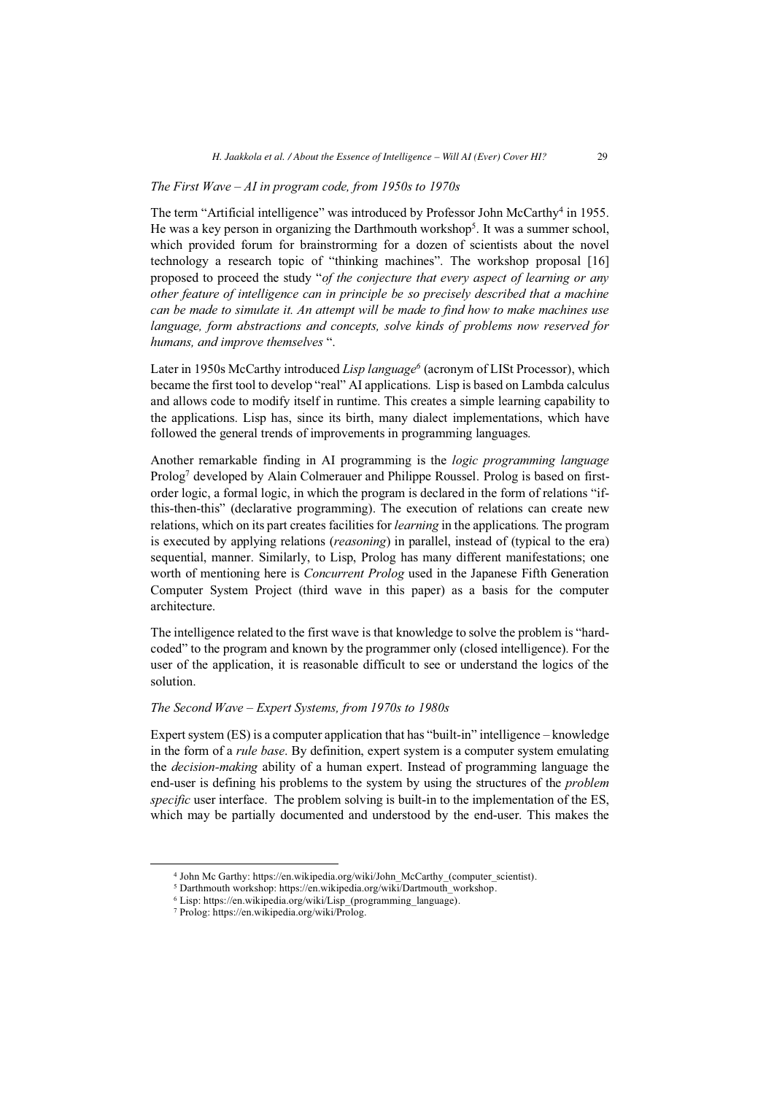#### *The First Wave – AI in program code, from 1950s to 1970s*

The term "Artificial intelligence" was introduced by Professor John McCarthy<sup>4</sup> in 1955. He was a key person in organizing the Darthmouth workshop<sup>5</sup>. It was a summer school, which provided forum for brainstrorming for a dozen of scientists about the novel technology a research topic of "thinking machines". The workshop proposal [16] proposed to proceed the study "*of the conjecture that every aspect of learning or any other feature of intelligence can in principle be so precisely described that a machine can be made to simulate it. An attempt will be made to find how to make machines use language, form abstractions and concepts, solve kinds of problems now reserved for humans, and improve themselves* ".

Later in 1950s McCarthy introduced *Lisp language*<sup>6</sup> (acronym of LISt Processor), which became the first tool to develop "real" AI applications. Lisp is based on Lambda calculus and allows code to modify itself in runtime. This creates a simple learning capability to the applications. Lisp has, since its birth, many dialect implementations, which have followed the general trends of improvements in programming languages.

Another remarkable finding in AI programming is the *logic programming language* Prolog<sup>7</sup> developed by Alain Colmerauer and Philippe Roussel. Prolog is based on firstorder logic, a formal logic, in which the program is declared in the form of relations "ifthis-then-this" (declarative programming). The execution of relations can create new relations, which on its part creates facilities for *learning* in the applications. The program is executed by applying relations (*reasoning*) in parallel, instead of (typical to the era) sequential, manner. Similarly, to Lisp, Prolog has many different manifestations; one worth of mentioning here is *Concurrent Prolog* used in the Japanese Fifth Generation Computer System Project (third wave in this paper) as a basis for the computer architecture.

The intelligence related to the first wave is that knowledge to solve the problem is "hardcoded" to the program and known by the programmer only (closed intelligence). For the user of the application, it is reasonable difficult to see or understand the logics of the solution.

#### *The Second Wave – Expert Systems, from 1970s to 1980s*

Expert system (ES) is a computer application that has "built-in" intelligence – knowledge in the form of a *rule base*. By definition, expert system is a computer system emulating the *decision-making* ability of a human expert. Instead of programming language the end-user is defining his problems to the system by using the structures of the *problem specific* user interface. The problem solving is built-in to the implementation of the ES, which may be partially documented and understood by the end-user. This makes the

<sup>4</sup> John Mc Garthy: https://en.wikipedia.org/wiki/John\_McCarthy\_(computer\_scientist). 5 Darthmouth workshop: https://en.wikipedia.org/wiki/Dartmouth\_workshop.

<sup>6</sup> Lisp: https://en.wikipedia.org/wiki/Lisp\_(programming\_language). 7 Prolog: https://en.wikipedia.org/wiki/Prolog.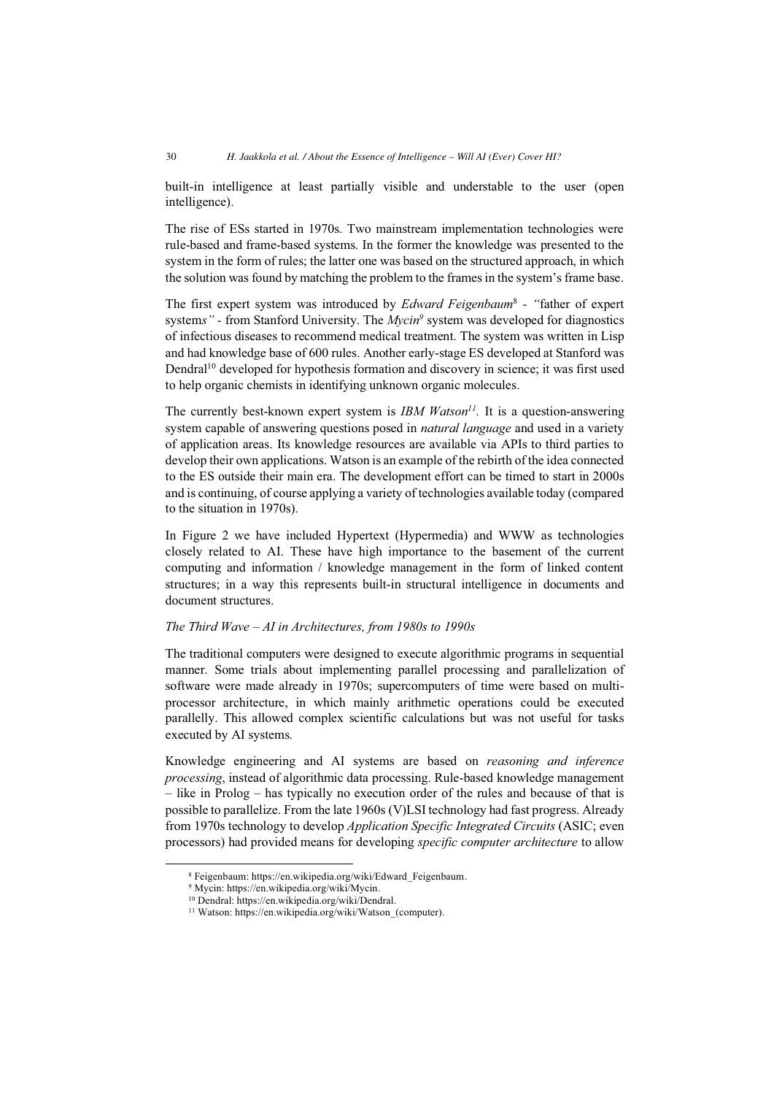built-in intelligence at least partially visible and understable to the user (open intelligence).

The rise of ESs started in 1970s. Two mainstream implementation technologies were rule-based and frame-based systems. In the former the knowledge was presented to the system in the form of rules; the latter one was based on the structured approach, in which the solution was found by matching the problem to the frames in the system's frame base.

The first expert system was introduced by *Edward Feigenbaum*<sup>8</sup>  *- "*father of expert systems" - from Stanford University. The *Mycin*<sup>9</sup> system was developed for diagnostics of infectious diseases to recommend medical treatment. The system was written in Lisp and had knowledge base of 600 rules. Another early-stage ES developed at Stanford was Dendral<sup>10</sup> developed for hypothesis formation and discovery in science; it was first used to help organic chemists in identifying unknown organic molecules.

The currently best-known expert system is *IBM Watson<sup>11</sup>*. It is a question-answering system capable of answering questions posed in *natural language* and used in a variety of application areas. Its knowledge resources are available via APIs to third parties to develop their own applications. Watson is an example of the rebirth of the idea connected to the ES outside their main era. The development effort can be timed to start in 2000s and is continuing, of course applying a variety of technologies available today (compared to the situation in 1970s).

In Figure 2 we have included Hypertext (Hypermedia) and WWW as technologies closely related to AI. These have high importance to the basement of the current computing and information / knowledge management in the form of linked content structures; in a way this represents built-in structural intelligence in documents and document structures.

#### *The Third Wave – AI in Architectures, from 1980s to 1990s*

The traditional computers were designed to execute algorithmic programs in sequential manner. Some trials about implementing parallel processing and parallelization of software were made already in 1970s; supercomputers of time were based on multiprocessor architecture, in which mainly arithmetic operations could be executed parallelly. This allowed complex scientific calculations but was not useful for tasks executed by AI systems.

Knowledge engineering and AI systems are based on *reasoning and inference processing*, instead of algorithmic data processing. Rule-based knowledge management – like in Prolog – has typically no execution order of the rules and because of that is possible to parallelize. From the late 1960s (V)LSI technology had fast progress. Already from 1970s technology to develop *Application Specific Integrated Circuits* (ASIC; even processors) had provided means for developing *specific computer architecture* to allow

<sup>8</sup> Feigenbaum: https://en.wikipedia.org/wiki/Edward\_Feigenbaum.

<sup>9</sup> Mycin: https://en.wikipedia.org/wiki/Mycin.

<sup>10</sup> Dendral: https://en.wikipedia.org/wiki/Dendral.

<sup>&</sup>lt;sup>11</sup> Watson: https://en.wikipedia.org/wiki/Watson (computer).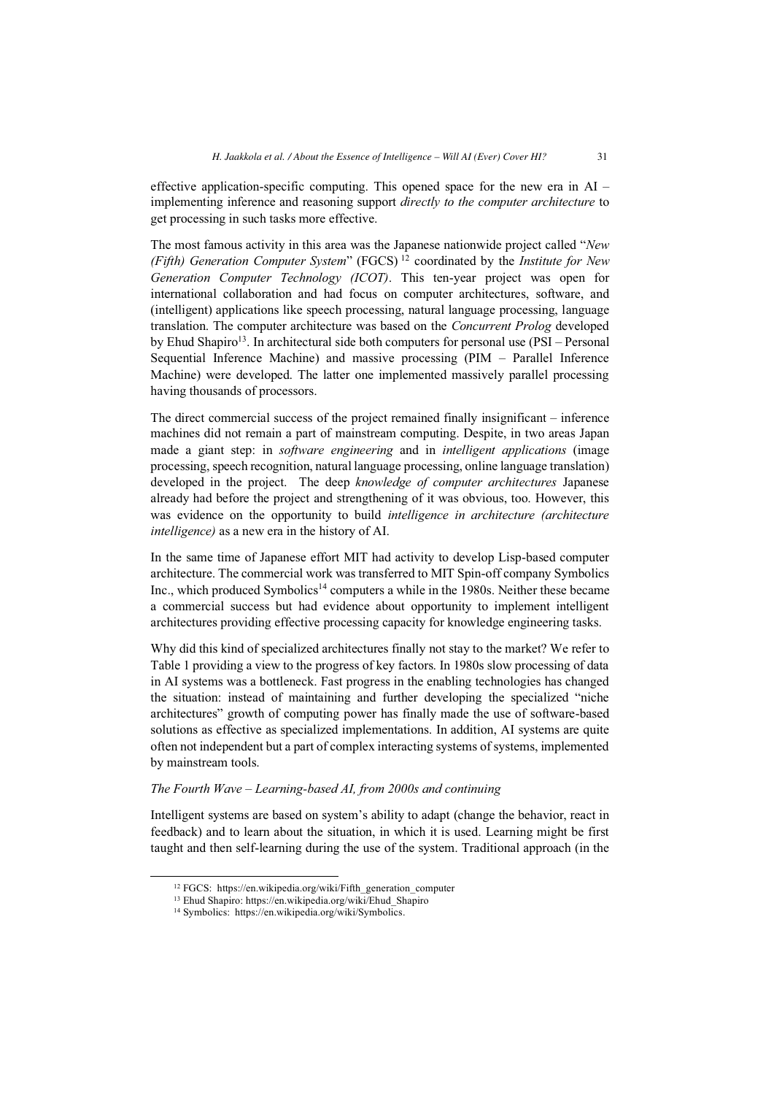effective application-specific computing. This opened space for the new era in AI – implementing inference and reasoning support *directly to the computer architecture* to get processing in such tasks more effective.

The most famous activity in this area was the Japanese nationwide project called "*New (Fifth) Generation Computer System*" (FGCS) 12 coordinated by the *Institute for New Generation Computer Technology (ICOT)*. This ten-year project was open for international collaboration and had focus on computer architectures, software, and (intelligent) applications like speech processing, natural language processing, language translation. The computer architecture was based on the *Concurrent Prolog* developed by Ehud Shapiro<sup>13</sup>. In architectural side both computers for personal use  $(PSI – Personal)$ Sequential Inference Machine) and massive processing (PIM – Parallel Inference Machine) were developed. The latter one implemented massively parallel processing having thousands of processors.

The direct commercial success of the project remained finally insignificant – inference machines did not remain a part of mainstream computing. Despite, in two areas Japan made a giant step: in *software engineering* and in *intelligent applications* (image processing, speech recognition, natural language processing, online language translation) developed in the project. The deep *knowledge of computer architectures* Japanese already had before the project and strengthening of it was obvious, too. However, this was evidence on the opportunity to build *intelligence in architecture (architecture intelligence)* as a new era in the history of AI.

In the same time of Japanese effort MIT had activity to develop Lisp-based computer architecture. The commercial work was transferred to MIT Spin-off company Symbolics Inc., which produced Symbolics14 computers a while in the 1980s. Neither these became a commercial success but had evidence about opportunity to implement intelligent architectures providing effective processing capacity for knowledge engineering tasks.

Why did this kind of specialized architectures finally not stay to the market? We refer to Table 1 providing a view to the progress of key factors. In 1980s slow processing of data in AI systems was a bottleneck. Fast progress in the enabling technologies has changed the situation: instead of maintaining and further developing the specialized "niche architectures" growth of computing power has finally made the use of software-based solutions as effective as specialized implementations. In addition, AI systems are quite often not independent but a part of complex interacting systems of systems, implemented by mainstream tools.

#### *The Fourth Wave – Learning-based AI, from 2000s and continuing*

Intelligent systems are based on system's ability to adapt (change the behavior, react in feedback) and to learn about the situation, in which it is used. Learning might be first taught and then self-learning during the use of the system. Traditional approach (in the

<sup>&</sup>lt;sup>12</sup> FGCS: https://en.wikipedia.org/wiki/Fifth\_generation\_computer <sup>13</sup> Ehud Shapiro: https://en.wikipedia.org/wiki/Ehud\_Shapiro <sup>14</sup> Symbolics: https://en.wikipedia.org/wiki/Symbolics.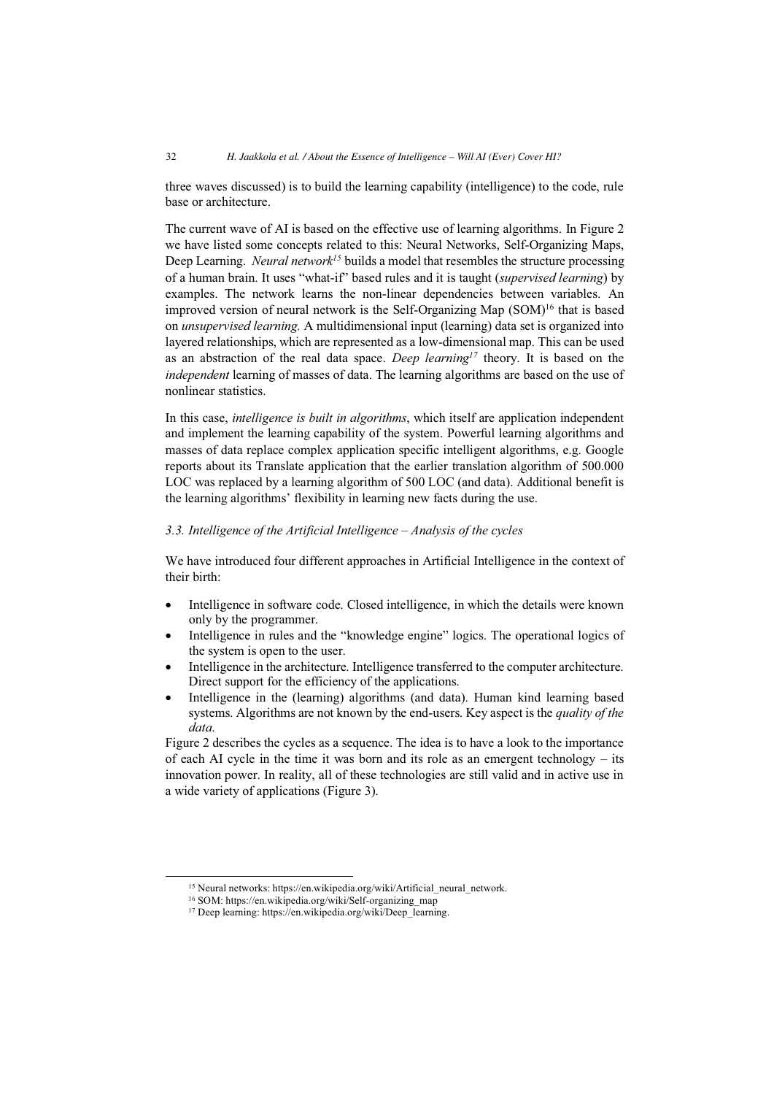three waves discussed) is to build the learning capability (intelligence) to the code, rule base or architecture.

The current wave of AI is based on the effective use of learning algorithms. In Figure 2 we have listed some concepts related to this: Neural Networks, Self-Organizing Maps, Deep Learning. *Neural network<sup>15</sup>* builds a model that resembles the structure processing of a human brain. It uses "what-if" based rules and it is taught (*supervised learning*) by examples. The network learns the non-linear dependencies between variables. An improved version of neural network is the Self-Organizing Map  $(SOM)^{16}$  that is based on *unsupervised learning.* A multidimensional input (learning) data set is organized into layered relationships, which are represented as a low-dimensional map. This can be used as an abstraction of the real data space. *Deep learning17* theory. It is based on the *independent* learning of masses of data. The learning algorithms are based on the use of nonlinear statistics.

In this case, *intelligence is built in algorithms*, which itself are application independent and implement the learning capability of the system. Powerful learning algorithms and masses of data replace complex application specific intelligent algorithms, e.g. Google reports about its Translate application that the earlier translation algorithm of 500.000 LOC was replaced by a learning algorithm of 500 LOC (and data). Additional benefit is the learning algorithms' flexibility in learning new facts during the use.

## *3.3. Intelligence of the Artificial Intelligence – Analysis of the cycles*

We have introduced four different approaches in Artificial Intelligence in the context of their birth:

- $\bullet$  Intelligence in software code. Closed intelligence, in which the details were known only by the programmer.
- $\bullet$  Intelligence in rules and the "knowledge engine" logics. The operational logics of the system is open to the user.
- $\bullet$  Intelligence in the architecture. Intelligence transferred to the computer architecture. Direct support for the efficiency of the applications.
- - Intelligence in the (learning) algorithms (and data). Human kind learning based systems. Algorithms are not known by the end-users. Key aspect is the *quality of the data*.

Figure 2 describes the cycles as a sequence. The idea is to have a look to the importance of each AI cycle in the time it was born and its role as an emergent technology – its innovation power. In reality, all of these technologies are still valid and in active use in a wide variety of applications (Figure 3).

<sup>&</sup>lt;sup>15</sup> Neural networks: https://en.wikipedia.org/wiki/Artificial\_neural\_network.

<sup>&</sup>lt;sup>16</sup> SOM: https://en.wikipedia.org/wiki/Self-organizing\_map

<sup>17</sup> Deep learning: https://en.wikipedia.org/wiki/Deep\_learning.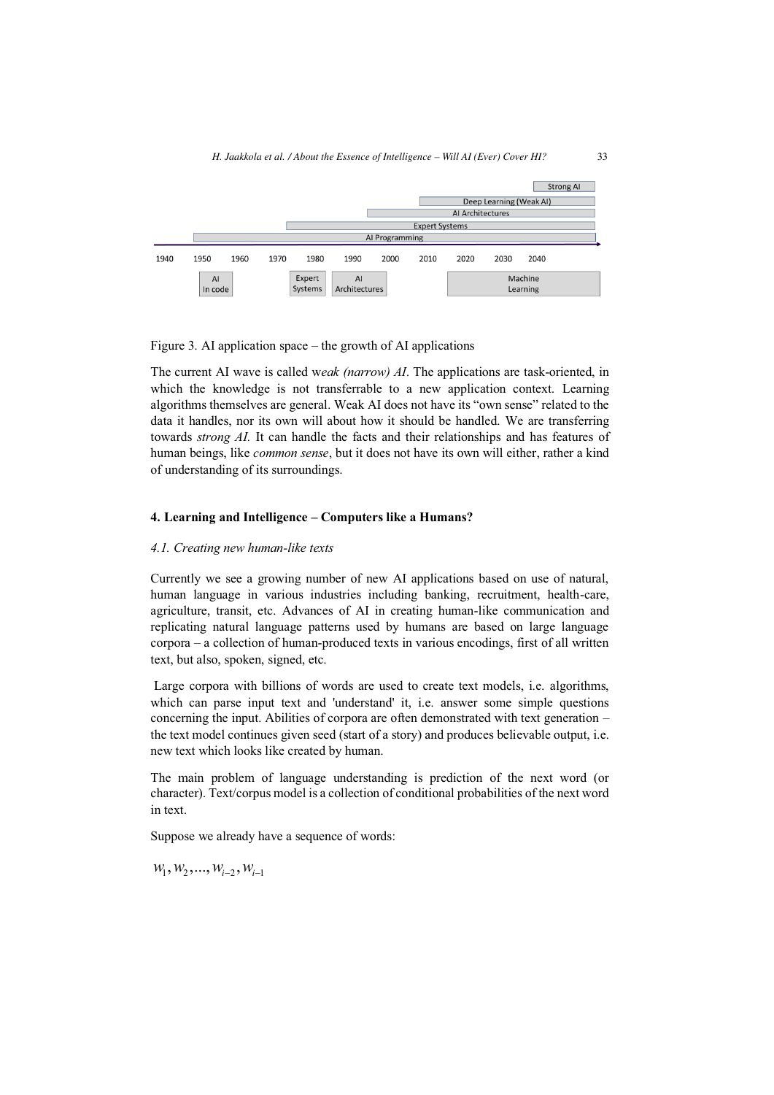

Figure 3. AI application space – the growth of AI applications

The current AI wave is called w*eak (narrow) AI*. The applications are task-oriented, in which the knowledge is not transferrable to a new application context. Learning algorithms themselves are general. Weak AI does not have its "own sense" related to the data it handles, nor its own will about how it should be handled. We are transferring towards *strong AI.* It can handle the facts and their relationships and has features of human beings, like *common sense*, but it does not have its own will either, rather a kind of understanding of its surroundings.

## **4. Learning and Intelligence – Computers like a Humans?**

#### *4.1. Creating new human-like texts*

Currently we see a growing number of new AI applications based on use of natural, human language in various industries including banking, recruitment, health-care, agriculture, transit, etc. Advances of AI in creating human-like communication and replicating natural language patterns used by humans are based on large language corpora – a collection of human-produced texts in various encodings, first of all written text, but also, spoken, signed, etc.

 Large corpora with billions of words are used to create text models, i.e. algorithms, which can parse input text and 'understand' it, i.e. answer some simple questions concerning the input. Abilities of corpora are often demonstrated with text generation – the text model continues given seed (start of a story) and produces believable output, i.e. new text which looks like created by human.

The main problem of language understanding is prediction of the next word (or character). Text/corpus model is a collection of conditional probabilities of the next word in text.

Suppose we already have a sequence of words:

 $W_1, W_2, ..., W_{i-2}, W_{i-1}$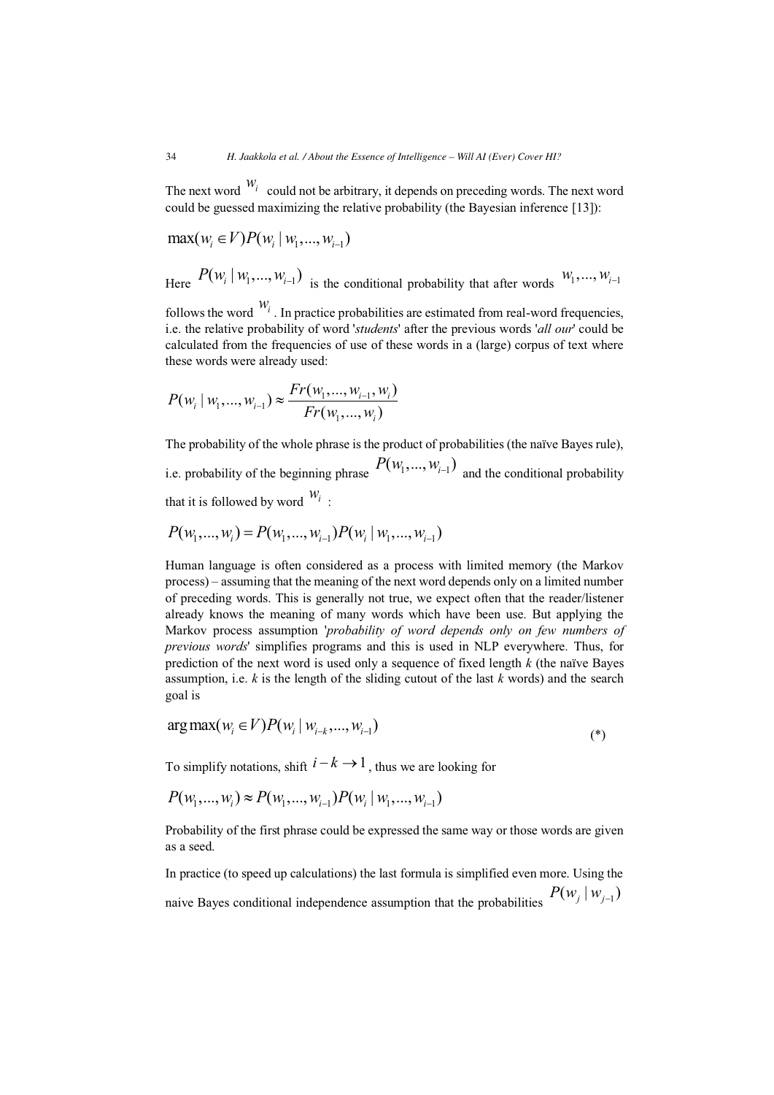The next word  $w_i$  could not be arbitrary, it depends on preceding words. The next word could be guessed maximizing the relative probability (the Bayesian inference [13]):

$$
\max(w_i \in V) P(w_i | w_1, ..., w_{i-1})
$$
  
Here  $P(w_i | w_1, ..., w_{i-1})$  is the conditional probability that after words  $W_1, ..., W_{i-1}$ 

follows the word  $w_i$ . In practice probabilities are estimated from real-word frequencies, i.e. the relative probability of word '*students*' after the previous words '*all our*' could be calculated from the frequencies of use of these words in a (large) corpus of text where these words were already used:

$$
P(w_i | w_1, ..., w_{i-1}) \approx \frac{Fr(w_1, ..., w_{i-1}, w_i)}{Fr(w_1, ..., w_i)}
$$

The probability of the whole phrase is the product of probabilities (the naïve Bayes rule), i.e. probability of the beginning phrase  $P(w_1, ..., w_{i-1})$  and the conditional probability that it is followed by word  $W_i$ :

$$
P(w_1, ..., w_i) = P(w_1, ..., w_{i-1}) P(w_i | w_1, ..., w_{i-1})
$$

Human language is often considered as a process with limited memory (the Markov process) – assuming that the meaning of the next word depends only on a limited number of preceding words. This is generally not true, we expect often that the reader/listener already knows the meaning of many words which have been use. But applying the Markov process assumption '*probability of word depends only on few numbers of previous words*' simplifies programs and this is used in NLP everywhere. Thus, for prediction of the next word is used only a sequence of fixed length *k* (the naïve Bayes assumption, i.e. *k* is the length of the sliding cutout of the last *k* words) and the search goal is

$$
\arg \max(w_i \in V) P(w_i \mid w_{i-k}, ..., w_{i-1})
$$
\n<sup>(\*)</sup>

To simplify notations, shift  $i - k \rightarrow 1$ , thus we are looking for

$$
P(w_1, ..., w_i) \approx P(w_1, ..., w_{i-1}) P(w_i | w_1, ..., w_{i-1})
$$

Probability of the first phrase could be expressed the same way or those words are given as a seed.

In practice (to speed up calculations) the last formula is simplified even more. Using the naive Bayes conditional independence assumption that the probabilities  $P(w_j | w_{j-1})$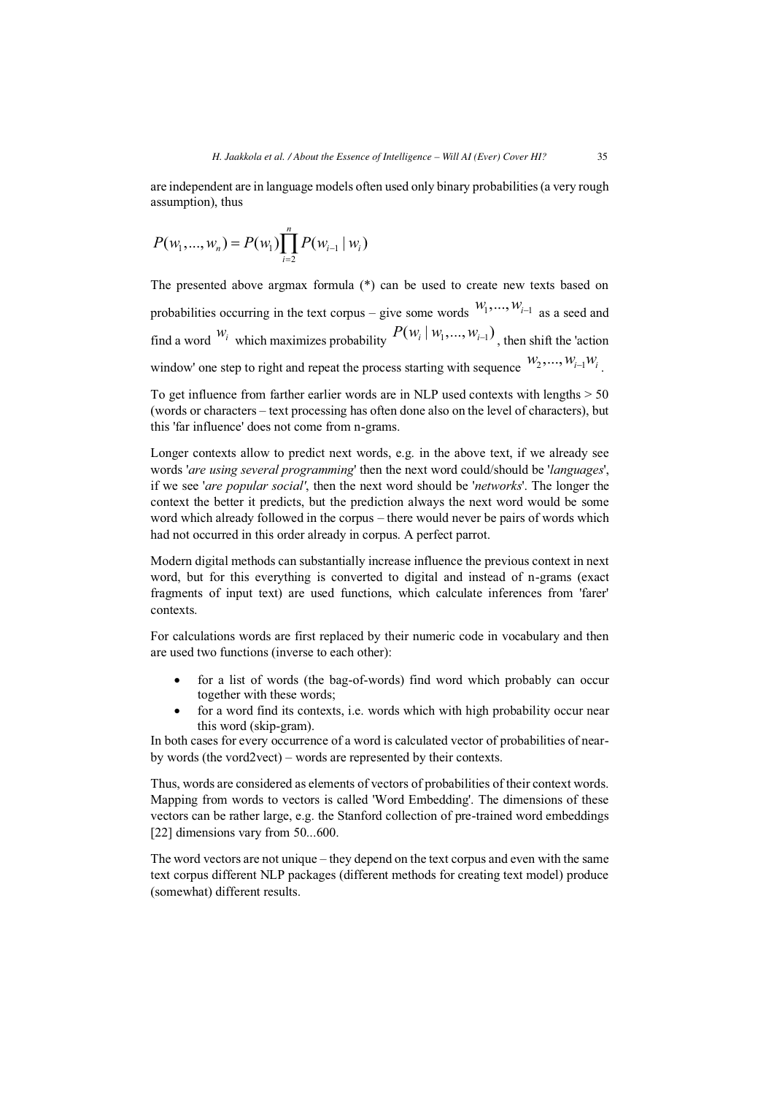are independent are in language models often used only binary probabilities (a very rough assumption), thus

$$
P(w_1, ..., w_n) = P(w_1) \prod_{i=2}^n P(w_{i-1} | w_i)
$$

The presented above argmax formula (\*) can be used to create new texts based on probabilities occurring in the text corpus – give some words  $W_1, \ldots, W_{i-1}$  as a seed and find a word  $W_i$  which maximizes probability  $P(w_i | w_1, ..., w_{i-1})$ , then shift the 'action window' one step to right and repeat the process starting with sequence  $W_2, ..., W_{i-1}W_i$ .

To get influence from farther earlier words are in NLP used contexts with lengths > 50 (words or characters – text processing has often done also on the level of characters), but this 'far influence' does not come from n-grams.

Longer contexts allow to predict next words, e.g. in the above text, if we already see words '*are using several programming*' then the next word could/should be '*languages*', if we see '*are popular social'*, then the next word should be '*networks*'. The longer the context the better it predicts, but the prediction always the next word would be some word which already followed in the corpus – there would never be pairs of words which had not occurred in this order already in corpus. A perfect parrot.

Modern digital methods can substantially increase influence the previous context in next word, but for this everything is converted to digital and instead of n-grams (exact fragments of input text) are used functions, which calculate inferences from 'farer' contexts.

For calculations words are first replaced by their numeric code in vocabulary and then are used two functions (inverse to each other):

- $\bullet$  for a list of words (the bag-of-words) find word which probably can occur together with these words;
- for a word find its contexts, i.e. words which with high probability occur near this word (skip-gram).

In both cases for every occurrence of a word is calculated vector of probabilities of nearby words (the vord2vect) – words are represented by their contexts.

Thus, words are considered as elements of vectors of probabilities of their context words. Mapping from words to vectors is called 'Word Embedding'. The dimensions of these vectors can be rather large, e.g. the Stanford collection of pre-trained word embeddings [22] dimensions vary from 50...600.

The word vectors are not unique – they depend on the text corpus and even with the same text corpus different NLP packages (different methods for creating text model) produce (somewhat) different results.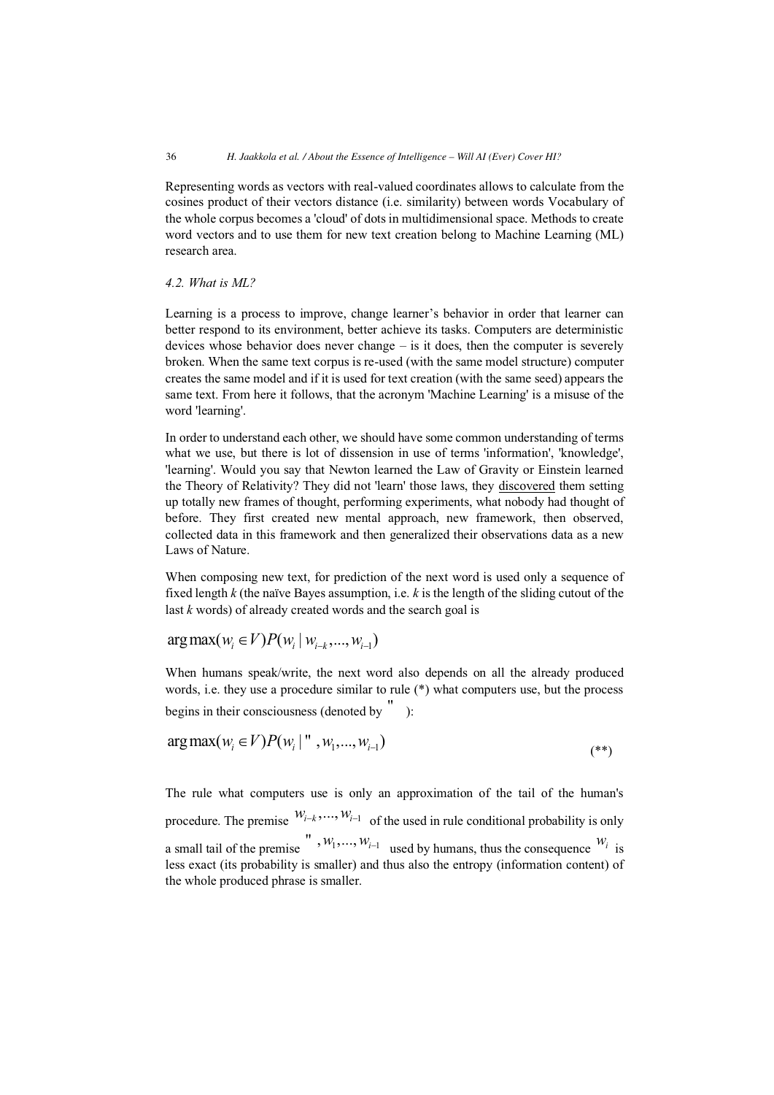Representing words as vectors with real-valued coordinates allows to calculate from the cosines product of their vectors distance (i.e. similarity) between words Vocabulary of the whole corpus becomes a 'cloud' of dots in multidimensional space. Methods to create word vectors and to use them for new text creation belong to Machine Learning (ML) research area.

## *4.2. What is ML?*

Learning is a process to improve, change learner's behavior in order that learner can better respond to its environment, better achieve its tasks. Computers are deterministic devices whose behavior does never change – is it does, then the computer is severely broken. When the same text corpus is re-used (with the same model structure) computer creates the same model and if it is used for text creation (with the same seed) appears the same text. From here it follows, that the acronym 'Machine Learning' is a misuse of the word 'learning'.

In order to understand each other, we should have some common understanding of terms what we use, but there is lot of dissension in use of terms 'information', 'knowledge', 'learning'. Would you say that Newton learned the Law of Gravity or Einstein learned the Theory of Relativity? They did not 'learn' those laws, they discovered them setting up totally new frames of thought, performing experiments, what nobody had thought of before. They first created new mental approach, new framework, then observed, collected data in this framework and then generalized their observations data as a new Laws of Nature.

When composing new text, for prediction of the next word is used only a sequence of fixed length *k* (the naïve Bayes assumption, i.e. *k* is the length of the sliding cutout of the last *k* words) of already created words and the search goal is

$$
arg max(w_i \in V) P(w_i | w_{i-k},..., w_{i-1})
$$

When humans speak/write, the next word also depends on all the already produced words, i.e. they use a procedure similar to rule (\*) what computers use, but the process begins in their consciousness (denoted by " ):

$$
\arg \max(w_i \in V) P(w_i \mid "w_1, ..., w_{i-1})
$$
\n<sup>(\*\*)</sup>

The rule what computers use is only an approximation of the tail of the human's procedure. The premise  $W_{i-k}$ , ...,  $W_{i-1}$  of the used in rule conditional probability is only a small tail of the premise  $w_1, w_1, ..., w_{i-1}$  used by humans, thus the consequence  $w_i$  is less exact (its probability is smaller) and thus also the entropy (information content) of the whole produced phrase is smaller.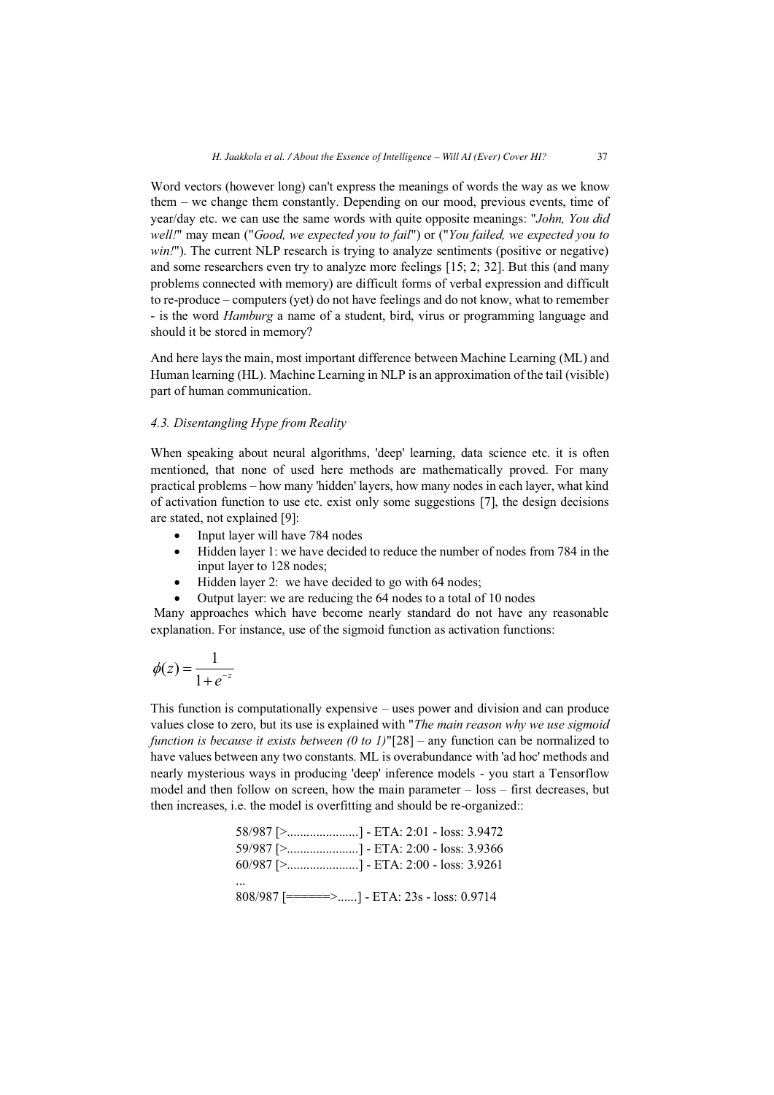Word vectors (however long) can't express the meanings of words the way as we know them – we change them constantly. Depending on our mood, previous events, time of year/day etc. we can use the same words with quite opposite meanings: "*John, You did well!*" may mean ("*Good, we expected you to fail*") or ("*You failed, we expected you to win!*"). The current NLP research is trying to analyze sentiments (positive or negative) and some researchers even try to analyze more feelings [15; 2; 32]. But this (and many problems connected with memory) are difficult forms of verbal expression and difficult to re-produce – computers (yet) do not have feelings and do not know, what to remember - is the word *Hamburg* a name of a student, bird, virus or programming language and should it be stored in memory?

And here lays the main, most important difference between Machine Learning (ML) and Human learning (HL). Machine Learning in NLP is an approximation of the tail (visible) part of human communication.

#### *4.3. Disentangling Hype from Reality*

When speaking about neural algorithms, 'deep' learning, data science etc. it is often mentioned, that none of used here methods are mathematically proved. For many practical problems – how many 'hidden' layers, how many nodes in each layer, what kind of activation function to use etc. exist only some suggestions [7], the design decisions are stated, not explained [9]:

- $\bullet$ Input layer will have 784 nodes
- $\bullet$  Hidden layer 1: we have decided to reduce the number of nodes from 784 in the input layer to 128 nodes;
- $\bullet$ Hidden layer 2: we have decided to go with 64 nodes;
- -Output layer: we are reducing the 64 nodes to a total of 10 nodes

 Many approaches which have become nearly standard do not have any reasonable explanation. For instance, use of the sigmoid function as activation functions:

$$
\phi(z) = \frac{1}{1 + e^{-z}}
$$

This function is computationally expensive – uses power and division and can produce values close to zero, but its use is explained with "*The main reason why we use sigmoid function is because it exists between (0 to 1)*"[28] – any function can be normalized to have values between any two constants. ML is overabundance with 'ad hoc' methods and nearly mysterious ways in producing 'deep' inference models - you start a Tensorflow model and then follow on screen, how the main parameter – loss – first decreases, but then increases, i.e. the model is overfitting and should be re-organized::

> 58/987 [>......................] - ETA: 2:01 - loss: 3.9472 59/987 [>......................] - ETA: 2:00 - loss: 3.9366 60/987 [>......................] - ETA: 2:00 - loss: 3.9261 ... 808/987 [======>......] - ETA: 23s - loss: 0.9714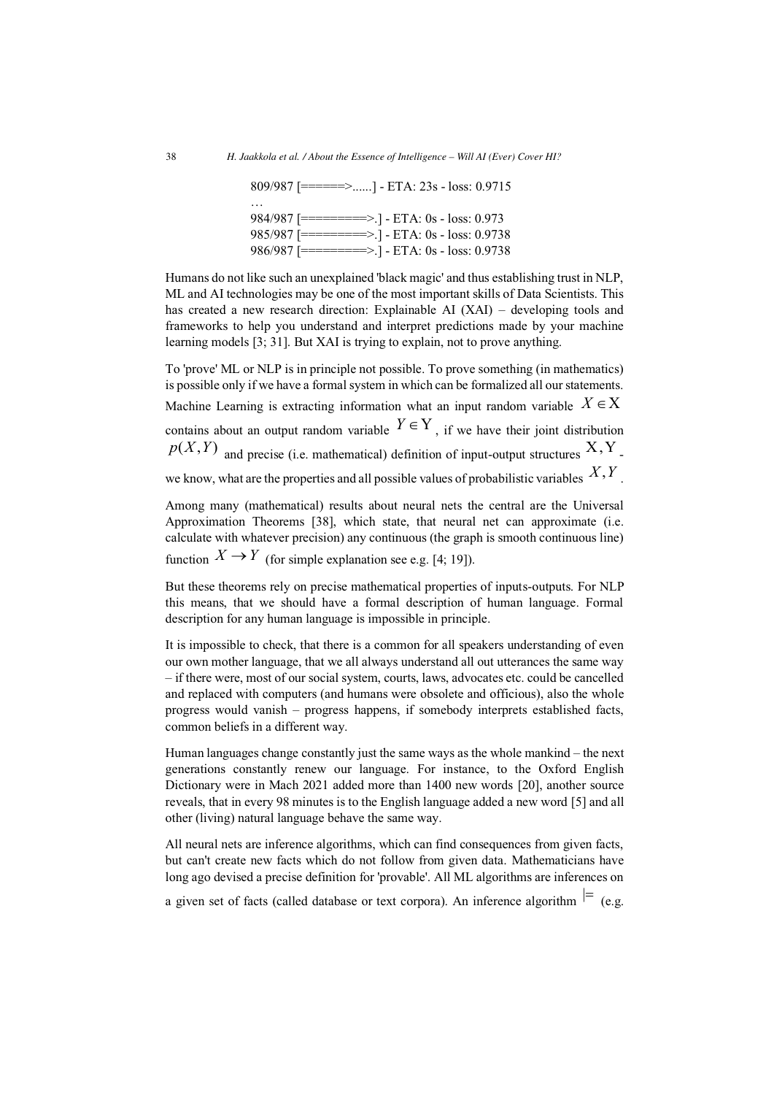809/987 [======>......] - ETA: 23s - loss: 0.9715 … 984/987 [=========>.] - ETA: 0s - loss: 0.973 985/987 [=========>.] - ETA: 0s - loss: 0.9738 986/987 [=========>.] - ETA: 0s - loss: 0.9738

Humans do not like such an unexplained 'black magic' and thus establishing trust in NLP, ML and AI technologies may be one of the most important skills of Data Scientists. This has created a new research direction: Explainable AI (XAI) – developing tools and frameworks to help you understand and interpret predictions made by your machine learning models [3; 31]. But XAI is trying to explain, not to prove anything.

To 'prove' ML or NLP is in principle not possible. To prove something (in mathematics) is possible only if we have a formal system in which can be formalized all our statements. Machine Learning is extracting information what an input random variable  $X \in X$ contains about an output random variable  $Y \in Y$ , if we have their joint distribution  $p(X,Y)$  and precise (i.e. mathematical) definition of input-output structures  $X, Y$ . we know, what are the properties and all possible values of probabilistic variables  $X, Y$ .

Among many (mathematical) results about neural nets the central are the Universal Approximation Theorems [38], which state, that neural net can approximate (i.e. calculate with whatever precision) any continuous (the graph is smooth continuous line) function  $X \to Y$  (for simple explanation see e.g. [4; 19]).

But these theorems rely on precise mathematical properties of inputs-outputs. For NLP this means, that we should have a formal description of human language. Formal description for any human language is impossible in principle.

It is impossible to check, that there is a common for all speakers understanding of even our own mother language, that we all always understand all out utterances the same way – if there were, most of our social system, courts, laws, advocates etc. could be cancelled and replaced with computers (and humans were obsolete and officious), also the whole progress would vanish – progress happens, if somebody interprets established facts, common beliefs in a different way.

Human languages change constantly just the same ways as the whole mankind – the next generations constantly renew our language. For instance, to the Oxford English Dictionary were in Mach 2021 added more than 1400 new words [20], another source reveals, that in every 98 minutes is to the English language added a new word [5] and all other (living) natural language behave the same way.

All neural nets are inference algorithms, which can find consequences from given facts, but can't create new facts which do not follow from given data. Mathematicians have long ago devised a precise definition for 'provable'. All ML algorithms are inferences on

a given set of facts (called database or text corpora). An inference algorithm  $\models$  (e.g.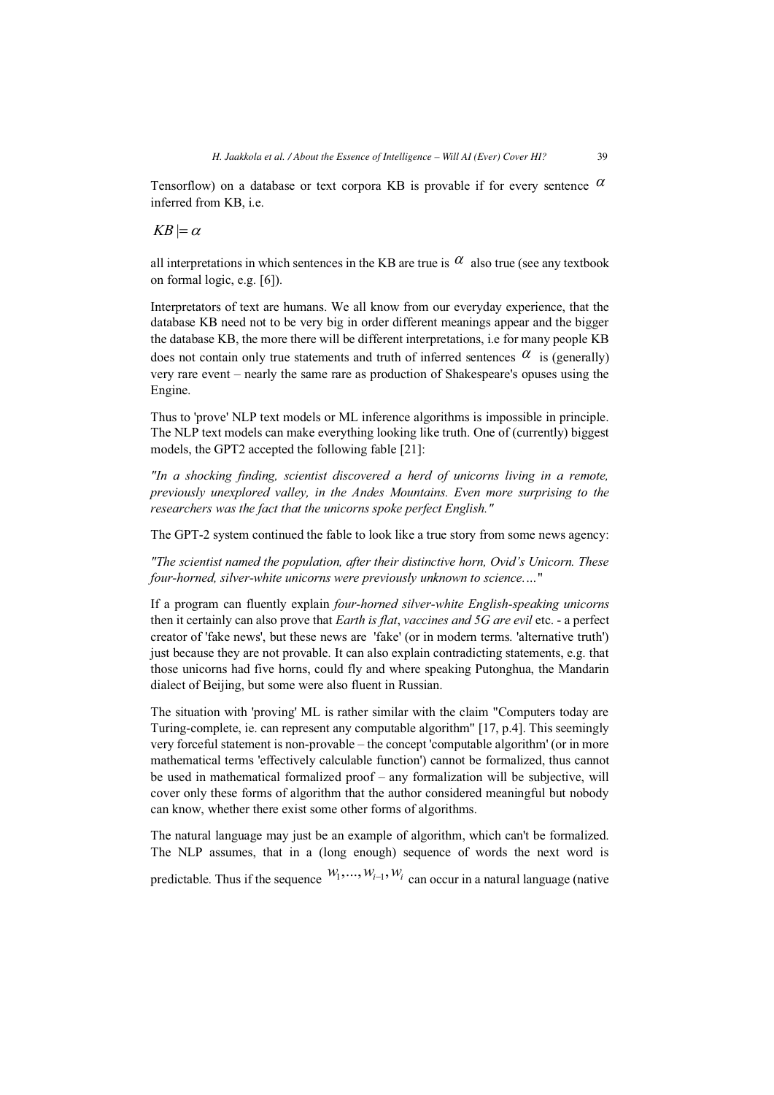Tensorflow) on a database or text corpora KB is provable if for every sentence  $\alpha$ inferred from KB, i.e.

# $KB \models \alpha$

Engine.

all interpretations in which sentences in the KB are true is  $\alpha$  also true (see any textbook on formal logic, e.g. [6]).

Interpretators of text are humans. We all know from our everyday experience, that the database KB need not to be very big in order different meanings appear and the bigger the database KB, the more there will be different interpretations, i.e for many people KB does not contain only true statements and truth of inferred sentences  $\alpha$  is (generally) very rare event – nearly the same rare as production of Shakespeare's opuses using the

Thus to 'prove' NLP text models or ML inference algorithms is impossible in principle. The NLP text models can make everything looking like truth. One of (currently) biggest models, the GPT2 accepted the following fable [21]:

*"In a shocking finding, scientist discovered a herd of unicorns living in a remote, previously unexplored valley, in the Andes Mountains. Even more surprising to the researchers was the fact that the unicorns spoke perfect English."* 

The GPT-2 system continued the fable to look like a true story from some news agency:

*"The scientist named the population, after their distinctive horn, Ovid's Unicorn. These four-horned, silver-white unicorns were previously unknown to science.…*"

If a program can fluently explain *four-horned silver-white English-speaking unicorns* then it certainly can also prove that *Earth is flat*, *vaccines and 5G are evil* etc. - a perfect creator of 'fake news', but these news are 'fake' (or in modern terms. 'alternative truth') just because they are not provable. It can also explain contradicting statements, e.g. that those unicorns had five horns, could fly and where speaking Putonghua, the Mandarin dialect of Beijing, but some were also fluent in Russian.

The situation with 'proving' ML is rather similar with the claim "Computers today are Turing-complete, ie. can represent any computable algorithm" [17, p.4]. This seemingly very forceful statement is non-provable – the concept 'computable algorithm' (or in more mathematical terms 'effectively calculable function') cannot be formalized, thus cannot be used in mathematical formalized proof – any formalization will be subjective, will cover only these forms of algorithm that the author considered meaningful but nobody can know, whether there exist some other forms of algorithms.

The natural language may just be an example of algorithm, which can't be formalized. The NLP assumes, that in a (long enough) sequence of words the next word is predictable. Thus if the sequence  $W_1, \dots, W_{i-1}, W_i$  can occur in a natural language (native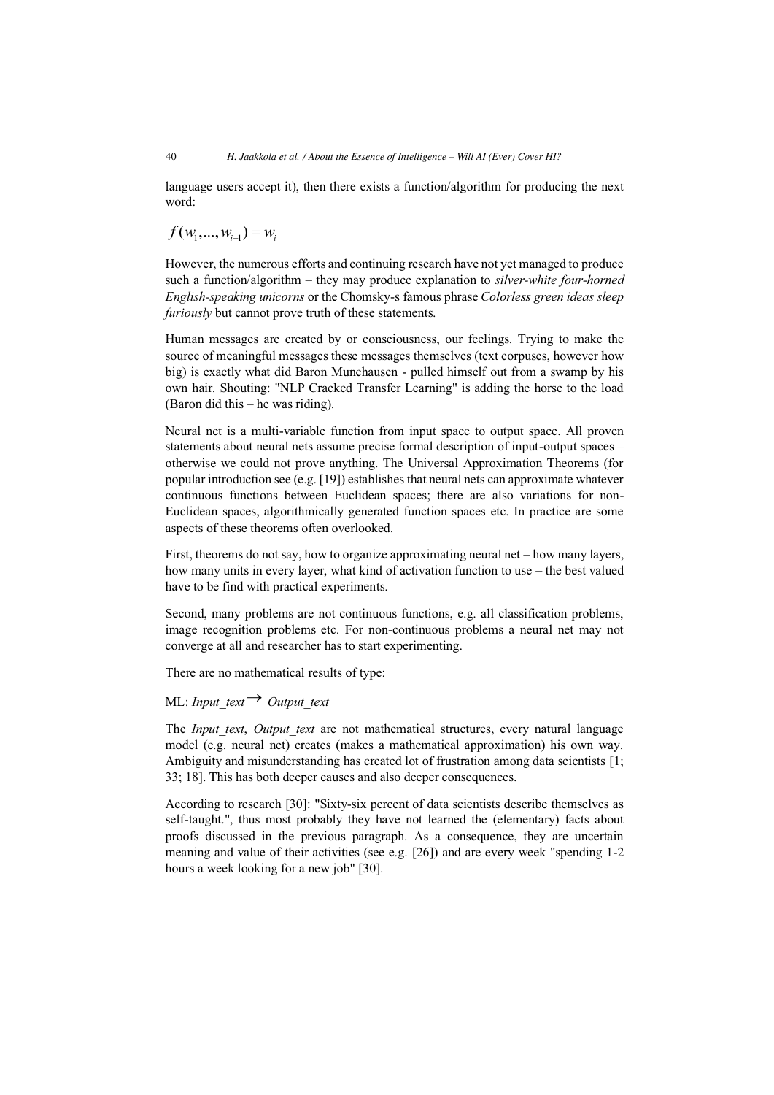language users accept it), then there exists a function/algorithm for producing the next word:

$$
f(w_1, ..., w_{i-1}) = w_i
$$

However, the numerous efforts and continuing research have not yet managed to produce such a function/algorithm – they may produce explanation to *silver-white four-horned English-speaking unicorns* or the Chomsky-s famous phrase *Colorless green ideas sleep furiously* but cannot prove truth of these statements.

Human messages are created by or consciousness, our feelings. Trying to make the source of meaningful messages these messages themselves (text corpuses, however how big) is exactly what did Baron Munchausen - pulled himself out from a swamp by his own hair. Shouting: "NLP Cracked Transfer Learning" is adding the horse to the load (Baron did this – he was riding).

Neural net is a multi-variable function from input space to output space. All proven statements about neural nets assume precise formal description of input-output spaces – otherwise we could not prove anything. The Universal Approximation Theorems (for popular introduction see (e.g. [19]) establishes that neural nets can approximate whatever continuous functions between Euclidean spaces; there are also variations for non-Euclidean spaces, algorithmically generated function spaces etc. In practice are some aspects of these theorems often overlooked.

First, theorems do not say, how to organize approximating neural net – how many layers, how many units in every layer, what kind of activation function to use – the best valued have to be find with practical experiments.

Second, many problems are not continuous functions, e.g. all classification problems, image recognition problems etc. For non-continuous problems a neural net may not converge at all and researcher has to start experimenting.

There are no mathematical results of type:

# ML: *Input\_text*  $\rightarrow$  *Output\_text*

The *Input text*, *Output text* are not mathematical structures, every natural language model (e.g. neural net) creates (makes a mathematical approximation) his own way. Ambiguity and misunderstanding has created lot of frustration among data scientists [1; 33; 18]. This has both deeper causes and also deeper consequences.

According to research [30]: "Sixty-six percent of data scientists describe themselves as self-taught.", thus most probably they have not learned the (elementary) facts about proofs discussed in the previous paragraph. As a consequence, they are uncertain meaning and value of their activities (see e.g. [26]) and are every week "spending 1-2 hours a week looking for a new job" [30].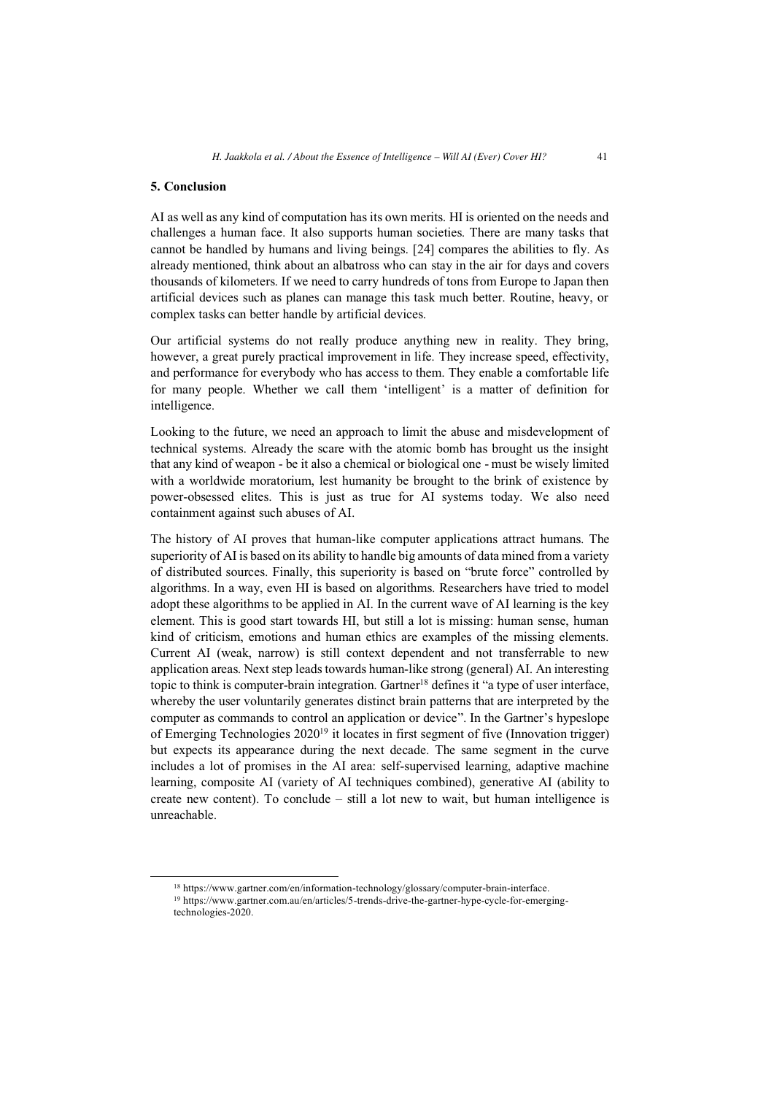#### **5. Conclusion**

AI as well as any kind of computation has its own merits. HI is oriented on the needs and challenges a human face. It also supports human societies. There are many tasks that cannot be handled by humans and living beings. [24] compares the abilities to fly. As already mentioned, think about an albatross who can stay in the air for days and covers thousands of kilometers. If we need to carry hundreds of tons from Europe to Japan then artificial devices such as planes can manage this task much better. Routine, heavy, or complex tasks can better handle by artificial devices.

Our artificial systems do not really produce anything new in reality. They bring, however, a great purely practical improvement in life. They increase speed, effectivity, and performance for everybody who has access to them. They enable a comfortable life for many people. Whether we call them 'intelligent' is a matter of definition for intelligence.

Looking to the future, we need an approach to limit the abuse and misdevelopment of technical systems. Already the scare with the atomic bomb has brought us the insight that any kind of weapon - be it also a chemical or biological one - must be wisely limited with a worldwide moratorium, lest humanity be brought to the brink of existence by power-obsessed elites. This is just as true for AI systems today. We also need containment against such abuses of AI.

The history of AI proves that human-like computer applications attract humans. The superiority of AI is based on its ability to handle big amounts of data mined from a variety of distributed sources. Finally, this superiority is based on "brute force" controlled by algorithms. In a way, even HI is based on algorithms. Researchers have tried to model adopt these algorithms to be applied in AI. In the current wave of AI learning is the key element. This is good start towards HI, but still a lot is missing: human sense, human kind of criticism, emotions and human ethics are examples of the missing elements. Current AI (weak, narrow) is still context dependent and not transferrable to new application areas. Next step leads towards human-like strong (general) AI. An interesting topic to think is computer-brain integration. Gartner<sup>18</sup> defines it "a type of user interface, whereby the user voluntarily generates distinct brain patterns that are interpreted by the computer as commands to control an application or device". In the Gartner's hypeslope of Emerging Technologies  $2020^{19}$  it locates in first segment of five (Innovation trigger) but expects its appearance during the next decade. The same segment in the curve includes a lot of promises in the AI area: self-supervised learning, adaptive machine learning, composite AI (variety of AI techniques combined), generative AI (ability to create new content). To conclude – still a lot new to wait, but human intelligence is unreachable.

<sup>&</sup>lt;sup>18</sup> https://www.gartner.com/en/information-technology/glossary/computer-brain-interface.<br><sup>19</sup> https://www.gartner.com.au/en/articles/5-trends-drive-the-gartner-hype-cycle-for-emerging-

technologies-2020.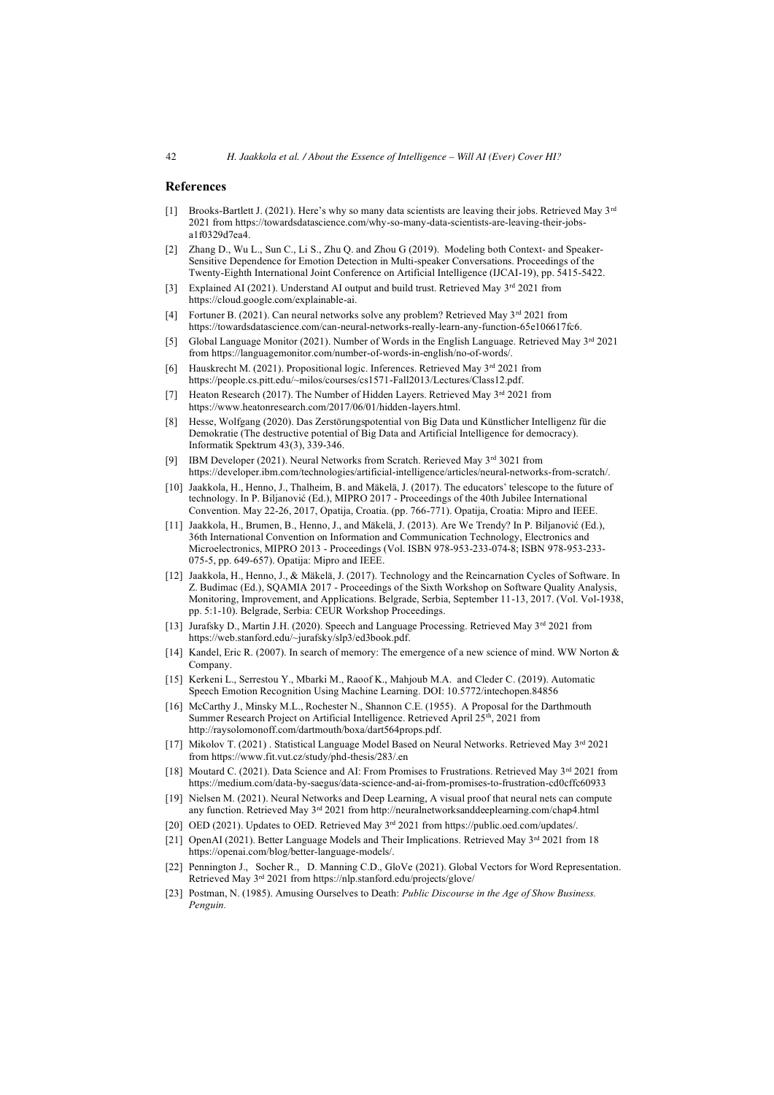#### **References**

- [1] Brooks-Bartlett J. (2021). Here's why so many data scientists are leaving their jobs. Retrieved May  $3<sup>rd</sup>$ 2021 from https://towardsdatascience.com/why-so-many-data-scientists-are-leaving-their-jobsa1f0329d7ea4.
- [2] Zhang D., Wu L., Sun C., Li S., Zhu Q. and Zhou G (2019). Modeling both Context- and Speaker-Sensitive Dependence for Emotion Detection in Multi-speaker Conversations. Proceedings of the Twenty-Eighth International Joint Conference on Artificial Intelligence (IJCAI-19), pp. 5415-5422.
- [3] Explained AI (2021). Understand AI output and build trust. Retrieved May 3rd 2021 from https://cloud.google.com/explainable-ai.
- [4] Fortuner B. (2021). Can neural networks solve any problem? Retrieved May 3<sup>rd</sup> 2021 from https://towardsdatascience.com/can-neural-networks-really-learn-any-function-65e106617fc6.
- [5] Global Language Monitor (2021). Number of Words in the English Language. Retrieved May  $3<sup>rd</sup> 2021$ from https://languagemonitor.com/number-of-words-in-english/no-of-words/.
- [6] Hauskrecht M. (2021). Propositional logic. Inferences. Retrieved May  $3<sup>rd</sup>$  2021 from https://people.cs.pitt.edu/~milos/courses/cs1571-Fall2013/Lectures/Class12.pdf.
- [7] Heaton Research (2017). The Number of Hidden Layers. Retrieved May  $3<sup>rd</sup>$  2021 from https://www.heatonresearch.com/2017/06/01/hidden-layers.html.
- [8] Hesse, Wolfgang (2020). Das Zerstörungspotential von Big Data und Künstlicher Intelligenz für die Demokratie (The destructive potential of Big Data and Artificial Intelligence for democracy). Informatik Spektrum 43(3), 339-346.
- [9] IBM Developer (2021). Neural Networks from Scratch. Rerieved May 3rd 3021 from https://developer.ibm.com/technologies/artificial-intelligence/articles/neural-networks-from-scratch/.
- [10] Jaakkola, H., Henno, J., Thalheim, B. and Mäkelä, J. (2017). The educators' telescope to the future of technology. In P. Biljanović (Ed.), MIPRO 2017 - Proceedings of the 40th Jubilee International Convention. May 22-26, 2017, Opatija, Croatia. (pp. 766-771). Opatija, Croatia: Mipro and IEEE.
- [11] Jaakkola, H., Brumen, B., Henno, J., and Mäkelä, J. (2013). Are We Trendy? In P. Biljanović (Ed.), 36th International Convention on Information and Communication Technology, Electronics and Microelectronics, MIPRO 2013 - Proceedings (Vol. ISBN 978-953-233-074-8; ISBN 978-953-233- 075-5, pp. 649-657). Opatija: Mipro and IEEE.
- [12] Jaakkola, H., Henno, J., & Mäkelä, J. (2017). Technology and the Reincarnation Cycles of Software. In Z. Budimac (Ed.), SQAMIA 2017 - Proceedings of the Sixth Workshop on Software Quality Analysis, Monitoring, Improvement, and Applications. Belgrade, Serbia, September 11-13, 2017. (Vol. Vol-1938, pp. 5:1-10). Belgrade, Serbia: CEUR Workshop Proceedings.
- [13] Jurafsky D., Martin J.H. (2020). Speech and Language Processing. Retrieved May 3rd 2021 from https://web.stanford.edu/~jurafsky/slp3/ed3book.pdf.
- [14] Kandel, Eric R. (2007). In search of memory: The emergence of a new science of mind. WW Norton & Company.
- [15] Kerkeni L., Serrestou Y., Mbarki M., Raoof K., Mahjoub M.A. and Cleder C. (2019). Automatic Speech Emotion Recognition Using Machine Learning. DOI: 10.5772/intechopen.84856
- [16] McCarthy J., Minsky M.L., Rochester N., Shannon C.E. (1955). A Proposal for the Darthmouth Summer Research Project on Artificial Intelligence. Retrieved April 25th, 2021 from http://raysolomonoff.com/dartmouth/boxa/dart564props.pdf.
- [17] Mikolov T. (2021) . Statistical Language Model Based on Neural Networks. Retrieved May 3rd 2021 from https://www.fit.vut.cz/study/phd-thesis/283/.en
- [18] Moutard C. (2021). Data Science and AI: From Promises to Frustrations. Retrieved May 3<sup>rd</sup> 2021 from https://medium.com/data-by-saegus/data-science-and-ai-from-promises-to-frustration-cd0cffc60933
- [19] Nielsen M. (2021). Neural Networks and Deep Learning, A visual proof that neural nets can compute any function. Retrieved May 3rd 2021 from http://neuralnetworksanddeeplearning.com/chap4.html
- [20] OED (2021). Updates to OED. Retrieved May 3<sup>rd</sup> 2021 from https://public.oed.com/updates/.
- [21] OpenAI (2021). Better Language Models and Their Implications. Retrieved May 3rd 2021 from 18 https://openai.com/blog/better-language-models/.
- [22] Pennington J., Socher R., D. Manning C.D., GloVe (2021). Global Vectors for Word Representation. Retrieved May 3rd 2021 from https://nlp.stanford.edu/projects/glove/
- [23] Postman, N. (1985). Amusing Ourselves to Death: *Public Discourse in the Age of Show Business. Penguin.*